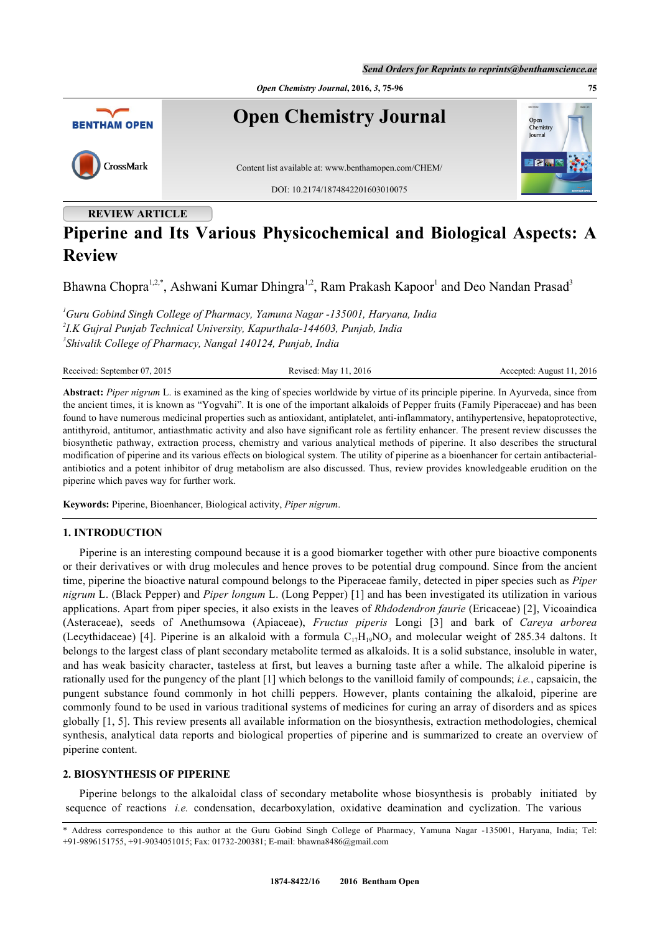*Send Orders for Reprints to reprints@benthamscience.ae*



# **Piperine and Its Various Physicochemical and Biological Aspects: A Review**

Bhawna Chopra<sup>[1,](#page-0-0)[2,](#page-0-1)[\\*](#page-0-2)</sup>, Ashwani Kumar Dhingra<sup>[1](#page-0-0),[2](#page-0-1)</sup>, Ram Prakash Kapoor<sup>1</sup> and Deo Nandan Prasad<sup>[3](#page-0-3)</sup>

<span id="page-0-3"></span><span id="page-0-1"></span><span id="page-0-0"></span>*<sup>1</sup>Guru Gobind Singh College of Pharmacy, Yamuna Nagar -135001, Haryana, India 2 I.K Gujral Punjab Technical University, Kapurthala-144603, Punjab, India 3 Shivalik College of Pharmacy, Nangal 140124, Punjab, India*

Received: September 07, 2015 Revised: May 11, 2016 Revised: May 11, 2016 Accepted: August 11, 2016

**Abstract:** *Piper nigrum* L. is examined as the king of species worldwide by virtue of its principle piperine. In Ayurveda, since from the ancient times, it is known as "Yogvahi". It is one of the important alkaloids of Pepper fruits (Family Piperaceae) and has been found to have numerous medicinal properties such as antioxidant, antiplatelet, anti-inflammatory, antihypertensive, hepatoprotective, antithyroid, antitumor, antiasthmatic activity and also have significant role as fertility enhancer. The present review discusses the biosynthetic pathway, extraction process, chemistry and various analytical methods of piperine. It also describes the structural modification of piperine and its various effects on biological system. The utility of piperine as a bioenhancer for certain antibacterialantibiotics and a potent inhibitor of drug metabolism are also discussed. Thus, review provides knowledgeable erudition on the piperine which paves way for further work.

**Keywords:** Piperine, Bioenhancer, Biological activity, *Piper nigrum*.

# **1. INTRODUCTION**

Piperine is an interesting compound because it is a good biomarker together with other pure bioactive components or their derivatives or with drug molecules and hence proves to be potential drug compound. Since from the ancient time, piperine the bioactive natural compound belongs to the Piperaceae family, detected in piper species such as *Piper nigrum* L. (Black Pepper) and *Piper longum* L. (Long Pepper) [\[1](#page-12-0)] and has been investigated its utilization in various applications. Apart from piper species, it also exists in the leaves of *Rhdodendron faurie* (Ericaceae) [[2\]](#page-13-0), Vicoaindica (Asteraceae), seeds of Anethumsowa (Apiaceae), *Fructus piperis* Longi [\[3](#page-13-1)] and bark of *Careya arborea* (Lecythidaceae) [[4\]](#page-13-2). Piperine is an alkaloid with a formula  $C_{17}H_{19}NO_3$  and molecular weight of 285.34 daltons. It belongs to the largest class of plant secondary metabolite termed as alkaloids. It is a solid substance, insoluble in water, and has weak basicity character, tasteless at first, but leaves a burning taste after a while. The alkaloid piperine is rationally used for the pungency of the plant [[1\]](#page-12-0) which belongs to the vanilloid family of compounds; *i.e.*, capsaicin, the pungent substance found commonly in hot chilli peppers. However, plants containing the alkaloid, piperine are commonly found to be used in various traditional systems of medicines for curing an array of disorders and as spices globally [\[1](#page-12-0), [5\]](#page-13-3). This review presents all available information on the biosynthesis, extraction methodologies, chemical synthesis, analytical data reports and biological properties of piperine and is summarized to create an overview of piperine content.

# **2. BIOSYNTHESIS OF PIPERINE**

Piperine belongs to the alkaloidal class of secondary metabolite whose biosynthesis is probably initiated by sequence of reactions *i.e.* condensation, decarboxylation, oxidative deamination and cyclization. The various

<span id="page-0-2"></span><sup>\*</sup> Address correspondence to this author at the Guru Gobind Singh College of Pharmacy, Yamuna Nagar -135001, Haryana, India; Tel: +91-9896151755, +91-9034051015; Fax: 01732-200381; E-mail: [bhawna8486@gmail.com](mailto:bhawna8486@gmail.com)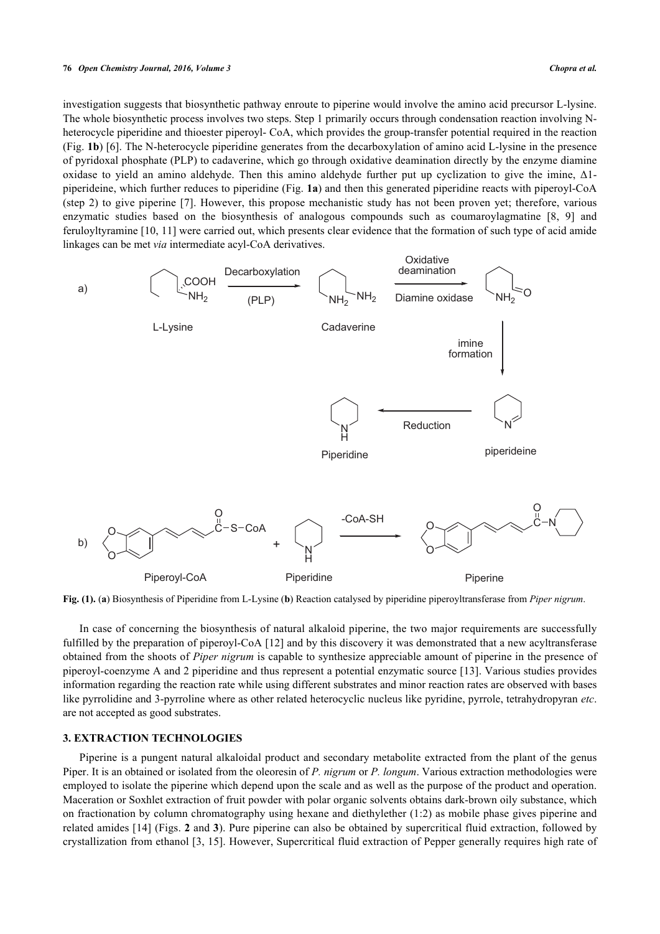investigation suggests that biosynthetic pathway enroute to piperine would involve the amino acid precursor L-lysine. The whole biosynthetic process involves two steps. Step 1 primarily occurs through condensation reaction involving Nheterocycle piperidine and thioester piperoyl- CoA, which provides the group-transfer potential required in the reaction (Fig. **[1b](#page-4-0)**) [\[6](#page-13-4)]. The N-heterocycle piperidine generates from the decarboxylation of amino acid L-lysine in the presence of pyridoxal phosphate (PLP) to cadaverine, which go through oxidative deamination directly by the enzyme diamine oxidase to yield an amino aldehyde. Then this amino aldehyde further put up cyclization to give the imine, Δ1 piperideine, which further reduces to piperidine (Fig. **[1a](#page-4-0)**) and then this generated piperidine reacts with piperoyl-CoA (step 2) to give piperine [[7](#page-13-5)]. However, this propose mechanistic study has not been proven yet; therefore, various enzymatic studies based on the biosynthesis of analogous compounds such as coumaroylagmatine[[8](#page-13-6), [9](#page-13-7)] and feruloyltyramine [\[10,](#page-13-8) [11\]](#page-13-9) were carried out, which presents clear evidence that the formation of such type of acid amide linkages can be met *via* intermediate acyl-CoA derivatives.



**Fig. (1).** (**a**) Biosynthesis of Piperidine from L-Lysine (**b**) Reaction catalysed by piperidine piperoyltransferase from *Piper nigrum*.

In case of concerning the biosynthesis of natural alkaloid piperine, the two major requirements are successfully fulfilled by the preparation of piperoyl-CoA [[12\]](#page-13-10) and by this discovery it was demonstrated that a new acyltransferase obtained from the shoots of *Piper nigrum* is capable to synthesize appreciable amount of piperine in the presence of piperoyl-coenzyme A and 2 piperidine and thus represent a potential enzymatic source [\[13\]](#page-13-11). Various studies provides information regarding the reaction rate while using different substrates and minor reaction rates are observed with bases like pyrrolidine and 3-pyrroline where as other related heterocyclic nucleus like pyridine, pyrrole, tetrahydropyran *etc*. are not accepted as good substrates.

## **3. EXTRACTION TECHNOLOGIES**

Piperine is a pungent natural alkaloidal product and secondary metabolite extracted from the plant of the genus Piper. It is an obtained or isolated from the oleoresin of *P. nigrum* or *P. longum*. Various extraction methodologies were employed to isolate the piperine which depend upon the scale and as well as the purpose of the product and operation. Maceration or Soxhlet extraction of fruit powder with polar organic solvents obtains dark-brown oily substance, which on fractionation by column chromatography using hexane and diethylether (1:2) as mobile phase gives piperine and related amides [[14](#page-13-12)] (Figs. **[2](#page--1-0)** and **[3](#page--1-0)**). Pure piperine can also be obtained by supercritical fluid extraction, followed by crystallization from ethanol [[3](#page-13-1), [15\]](#page-13-13). However, Supercritical fluid extraction of Pepper generally requires high rate of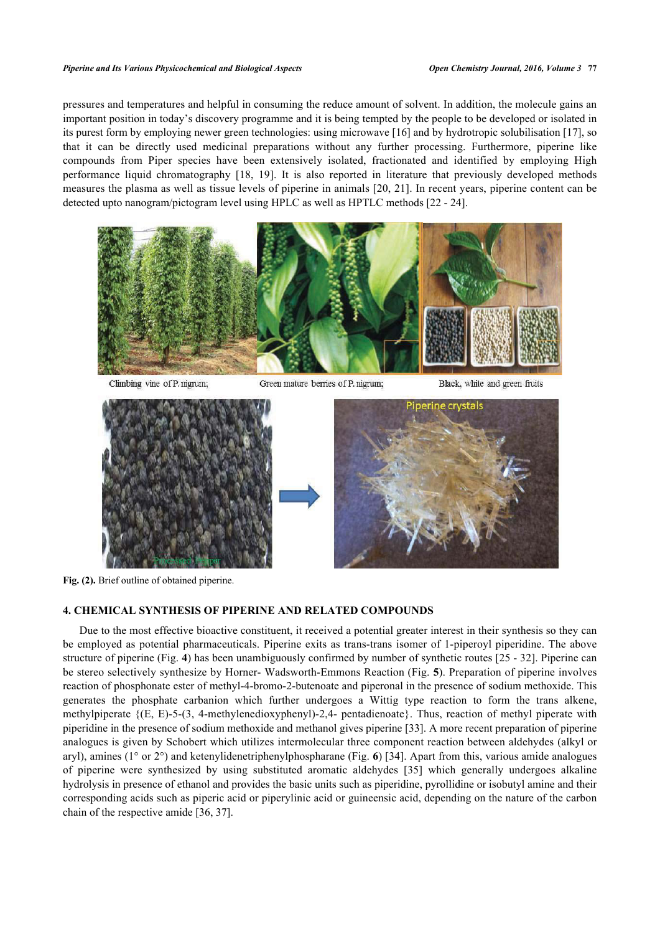pressures and temperatures and helpful in consuming the reduce amount of solvent. In addition, the molecule gains an important position in today's discovery programme and it is being tempted by the people to be developed or isolated in its purest form by employing newer green technologies: using microwave [\[16](#page-13-14)] and by hydrotropic solubilisation [\[17](#page-13-15)], so that it can be directly used medicinal preparations without any further processing. Furthermore, piperine like compounds from Piper species have been extensively isolated, fractionated and identified by employing High performance liquid chromatography [\[18](#page-13-16), [19\]](#page-13-17). It is also reported in literature that previously developed methods measures the plasma as well as tissue levels of piperine in animals [[20](#page-13-18), [21](#page-13-19)]. In recent years, piperine content can be detected upto nanogram/pictogram level using HPLC as well as HPTLC methods [\[22](#page-13-20) - [24](#page-13-21)].



Climbing vine of P. nigrum;

Green mature berries of P. nigrum;

Black, white and green fruits





**Fig. (2).** Brief outline of obtained piperine.

## **4. CHEMICAL SYNTHESIS OF PIPERINE AND RELATED COMPOUNDS**

Due to the most effective bioactive constituent, it received a potential greater interest in their synthesis so they can be employed as potential pharmaceuticals. Piperine exits as trans-trans isomer of 1-piperoyl piperidine. The above structure of piperine (Fig. **[4](#page--1-0)**) has been unambiguously confirmed by number of synthetic routes [\[25](#page-13-22) - [32](#page-14-0)]. Piperine can be stereo selectively synthesize by Horner- Wadsworth-Emmons Reaction (Fig. **[5](#page--1-0)**). Preparation of piperine involves reaction of phosphonate ester of methyl-4-bromo-2-butenoate and piperonal in the presence of sodium methoxide. This generates the phosphate carbanion which further undergoes a Wittig type reaction to form the trans alkene, methylpiperate {(E, E)-5-(3, 4-methylenedioxyphenyl)-2,4- pentadienoate}. Thus, reaction of methyl piperate with piperidine in the presence of sodium methoxide and methanol gives piperine [[33\]](#page-14-1). A more recent preparation of piperine analogues is given by Schobert which utilizes intermolecular three component reaction between aldehydes (alkyl or aryl), amines (1° or 2°) and ketenylidenetriphenylphospharane (Fig. **[6](#page--1-0)**) [[34](#page-14-2)]. Apart from this, various amide analogues of piperine were synthesized by using substituted aromatic aldehydes[[35\]](#page-14-3) which generally undergoes alkaline hydrolysis in presence of ethanol and provides the basic units such as piperidine, pyrollidine or isobutyl amine and their corresponding acids such as piperic acid or piperylinic acid or guineensic acid, depending on the nature of the carbon chain of the respective amide [[36,](#page-14-4) [37\]](#page-14-5).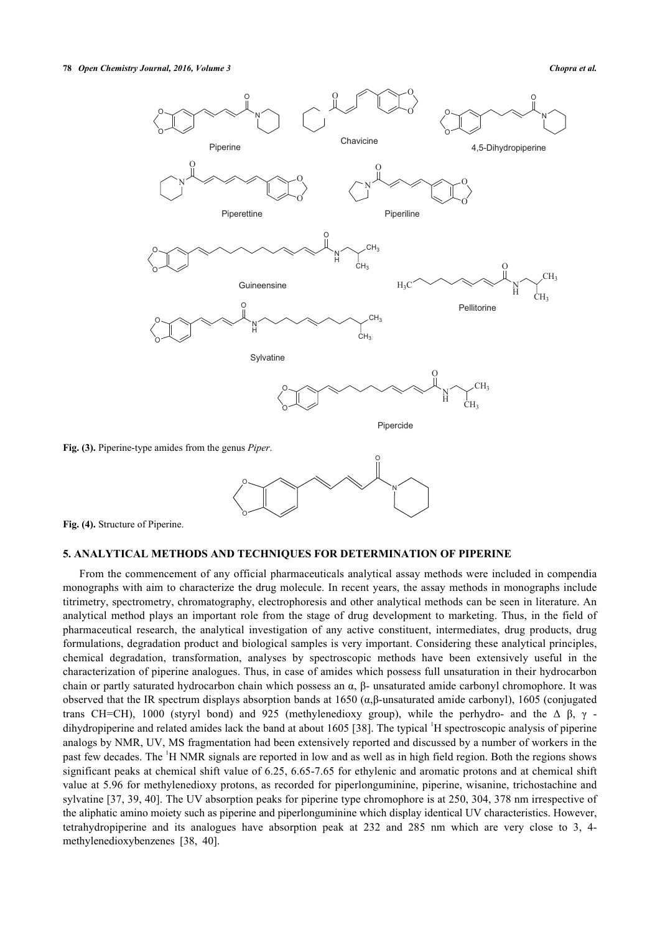

**Fig. (4).** Structure of Piperine.

#### **5. ANALYTICAL METHODS AND TECHNIQUES FOR DETERMINATION OF PIPERINE**

O

From the commencement of any official pharmaceuticals analytical assay methods were included in compendia monographs with aim to characterize the drug molecule. In recent years, the assay methods in monographs include titrimetry, spectrometry, chromatography, electrophoresis and other analytical methods can be seen in literature. An analytical method plays an important role from the stage of drug development to marketing. Thus, in the field of pharmaceutical research, the analytical investigation of any active constituent, intermediates, drug products, drug formulations, degradation product and biological samples is very important. Considering these analytical principles, chemical degradation, transformation, analyses by spectroscopic methods have been extensively useful in the characterization of piperine analogues. Thus, in case of amides which possess full unsaturation in their hydrocarbon chain or partly saturated hydrocarbon chain which possess an  $\alpha$ , β- unsaturated amide carbonyl chromophore. It was observed that the IR spectrum displays absorption bands at 1650 (α,β-unsaturated amide carbonyl), 1605 (conjugated trans CH=CH), 1000 (styryl bond) and 925 (methylenedioxy group), while the perhydro- and the Δ β, γ -dihydropiperine and related amides lack the band at about 1605 [\[38](#page-14-6)]. The typical <sup>1</sup>H spectroscopic analysis of piperine analogs by NMR, UV, MS fragmentation had been extensively reported and discussed by a number of workers in the past few decades. The <sup>1</sup>H NMR signals are reported in low and as well as in high field region. Both the regions shows significant peaks at chemical shift value of 6.25, 6.65-7.65 for ethylenic and aromatic protons and at chemical shift value at 5.96 for methylenedioxy protons, as recorded for piperlonguminine, piperine, wisanine, trichostachine and sylvatine [[37,](#page-14-5) [39](#page-14-7), [40\]](#page-14-8). The UV absorption peaks for piperine type chromophore is at 250, 304, 378 nm irrespective of the aliphatic amino moiety such as piperine and piperlonguminine which display identical UV characteristics. However, tetrahydropiperine and its analogues have absorption peak at 232 and 285 nm which are very close to 3, 4 methylenedioxybenzenes[[38,](#page-14-6) [40\]](#page-14-8).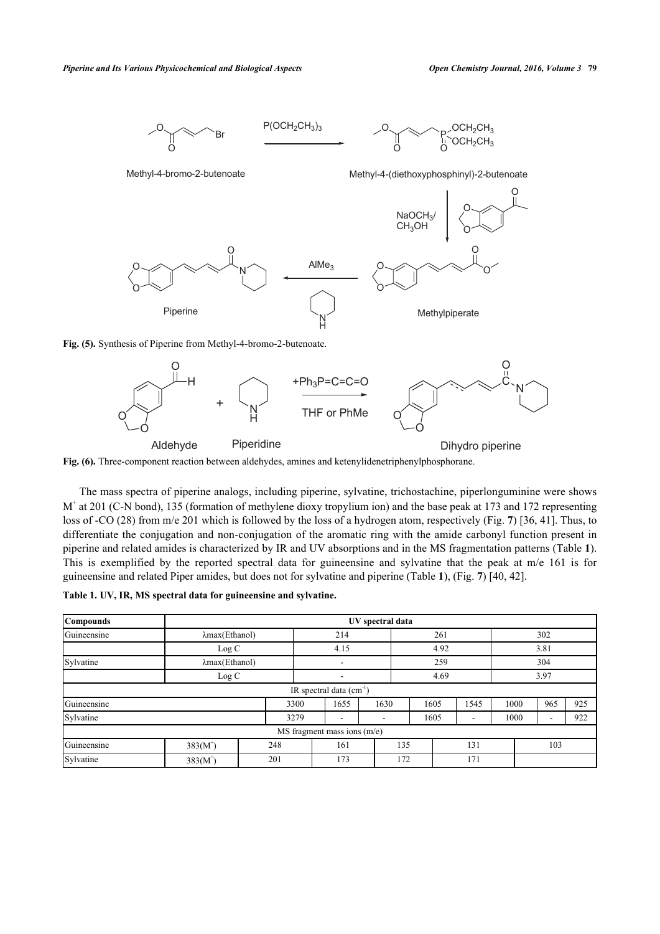



**Fig. (6).** Three-component reaction between aldehydes, amines and ketenylidenetriphenylphosphorane.

The mass spectra of piperine analogs, including piperine, sylvatine, trichostachine, piperlonguminine were shows M<sup>+</sup> at 201 (C-N bond), 135 (formation of methylene dioxy tropylium ion) and the base peak at 173 and 172 representing loss of -CO (28) from m/e 201 which is followed by the loss of a hydrogen atom, respectively (Fig. **[7](#page--1-0)**) [\[36](#page-14-4), [41](#page-14-9)]. Thus, to differentiate the conjugation and non-conjugation of the aromatic ring with the amide carbonyl function present in piperine and related amides is characterized by IR and UV absorptions and in the MS fragmentation patterns (Table **[1](#page-4-1)**). This is exemplified by the reported spectral data for guineensine and sylvatine that the peak at m/e 161 is for guineensine and related Piper amides, but does not for sylvatine and piperine (Table **[1](#page-4-1)**), (Fig. **[7](#page--1-0)**) [[40,](#page-14-8) [42\]](#page-14-10).

<span id="page-4-1"></span>

|  |  |  |  | Table 1. UV, IR, MS spectral data for guineensine and sylvatine. |  |
|--|--|--|--|------------------------------------------------------------------|--|
|  |  |  |  |                                                                  |  |

<span id="page-4-0"></span>

| Compounds                             | UV spectral data       |     |      |                           |      |     |            |           |      |  |      |      |     |  |
|---------------------------------------|------------------------|-----|------|---------------------------|------|-----|------------|-----------|------|--|------|------|-----|--|
| Guineensine<br>$\lambda$ max(Ethanol) |                        |     |      | 214                       |      |     | 261        |           |      |  | 302  |      |     |  |
|                                       | Log C                  |     |      |                           | 4.15 |     |            | 4.92      |      |  |      | 3.81 |     |  |
| Sylvatine                             | $\lambda$ max(Ethanol) |     |      | $\blacksquare$            |      |     | 259        |           |      |  | 304  |      |     |  |
|                                       | Log C                  |     |      |                           |      |     |            | 4.69      |      |  |      | 3.97 |     |  |
|                                       |                        |     |      | IR spectral data $(cm-1)$ |      |     |            |           |      |  |      |      |     |  |
| Guineensine                           |                        |     | 3300 | 1655                      | 1630 |     |            | 1605      | 1545 |  | 1000 | 965  | 925 |  |
| Sylvatine                             |                        |     | 3279 | $\overline{\phantom{0}}$  |      | ۰   |            | 1605<br>٠ |      |  | 1000 | ۰    | 922 |  |
| $MS$ fragment mass ions $(m/e)$       |                        |     |      |                           |      |     |            |           |      |  |      |      |     |  |
| Guineensine                           | $383(M^{+})$           | 248 |      | 161                       |      |     | 135<br>131 |           | 103  |  |      |      |     |  |
| Sylvatine                             | $383(M^{4})$           | 201 |      | 173                       |      | 172 |            |           | 171  |  |      |      |     |  |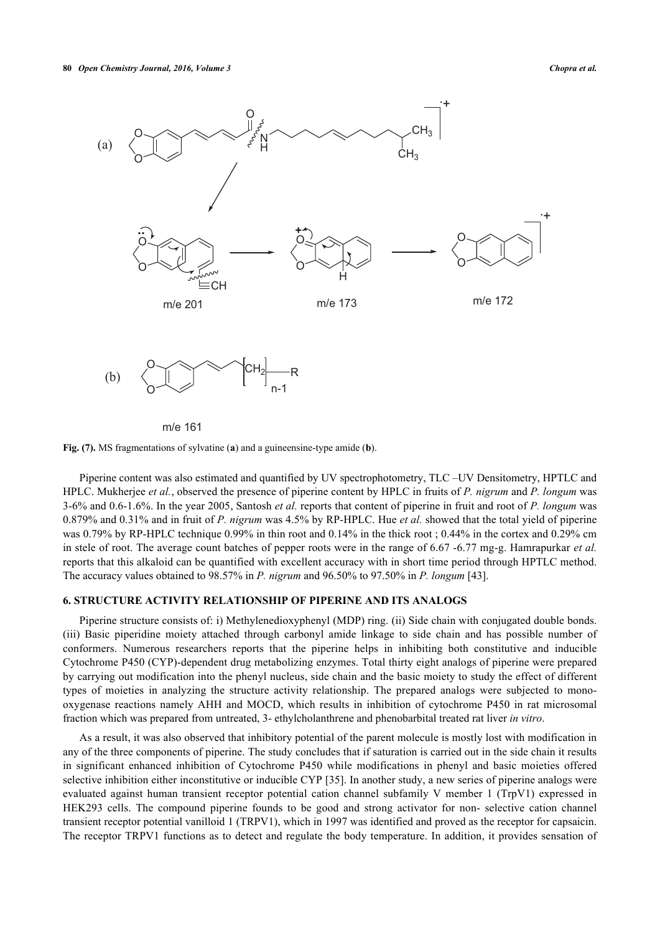

m/e 161

**Fig. (7).** MS fragmentations of sylvatine (**a**) and a guineensine-type amide (**b**).

Piperine content was also estimated and quantified by UV spectrophotometry, TLC –UV Densitometry, HPTLC and HPLC. Mukherjee *et al.*, observed the presence of piperine content by HPLC in fruits of *P. nigrum* and *P. longum* was 3-6% and 0.6-1.6%. In the year 2005, Santosh *et al.* reports that content of piperine in fruit and root of *P. longum* was 0.879% and 0.31% and in fruit of *P. nigrum* was 4.5% by RP-HPLC. Hue *et al.* showed that the total yield of piperine was 0.79% by RP-HPLC technique 0.99% in thin root and 0.14% in the thick root ; 0.44% in the cortex and 0.29% cm in stele of root. The average count batches of pepper roots were in the range of 6.67 -6.77 mg-g. Hamrapurkar *et al.* reports that this alkaloid can be quantified with excellent accuracy with in short time period through HPTLC method. The accuracy values obtained to 98.57% in *P. nigrum* and 96.50% to 97.50% in *P. longum* [\[43](#page-14-11)].

#### **6. STRUCTURE ACTIVITY RELATIONSHIP OF PIPERINE AND ITS ANALOGS**

Piperine structure consists of: i) Methylenedioxyphenyl (MDP) ring. (ii) Side chain with conjugated double bonds. (iii) Basic piperidine moiety attached through carbonyl amide linkage to side chain and has possible number of conformers. Numerous researchers reports that the piperine helps in inhibiting both constitutive and inducible Cytochrome P450 (CYP)-dependent drug metabolizing enzymes. Total thirty eight analogs of piperine were prepared by carrying out modification into the phenyl nucleus, side chain and the basic moiety to study the effect of different types of moieties in analyzing the structure activity relationship. The prepared analogs were subjected to monooxygenase reactions namely AHH and MOCD, which results in inhibition of cytochrome P450 in rat microsomal fraction which was prepared from untreated, 3- ethylcholanthrene and phenobarbital treated rat liver *in vitro*.

As a result, it was also observed that inhibitory potential of the parent molecule is mostly lost with modification in any of the three components of piperine. The study concludes that if saturation is carried out in the side chain it results in significant enhanced inhibition of Cytochrome P450 while modifications in phenyl and basic moieties offered selective inhibition either inconstitutive or inducible CYP [[35\]](#page-14-3). In another study, a new series of piperine analogs were evaluated against human transient receptor potential cation channel subfamily V member 1 (TrpV1) expressed in HEK293 cells. The compound piperine founds to be good and strong activator for non- selective cation channel transient receptor potential vanilloid 1 (TRPV1), which in 1997 was identified and proved as the receptor for capsaicin. The receptor TRPV1 functions as to detect and regulate the body temperature. In addition, it provides sensation of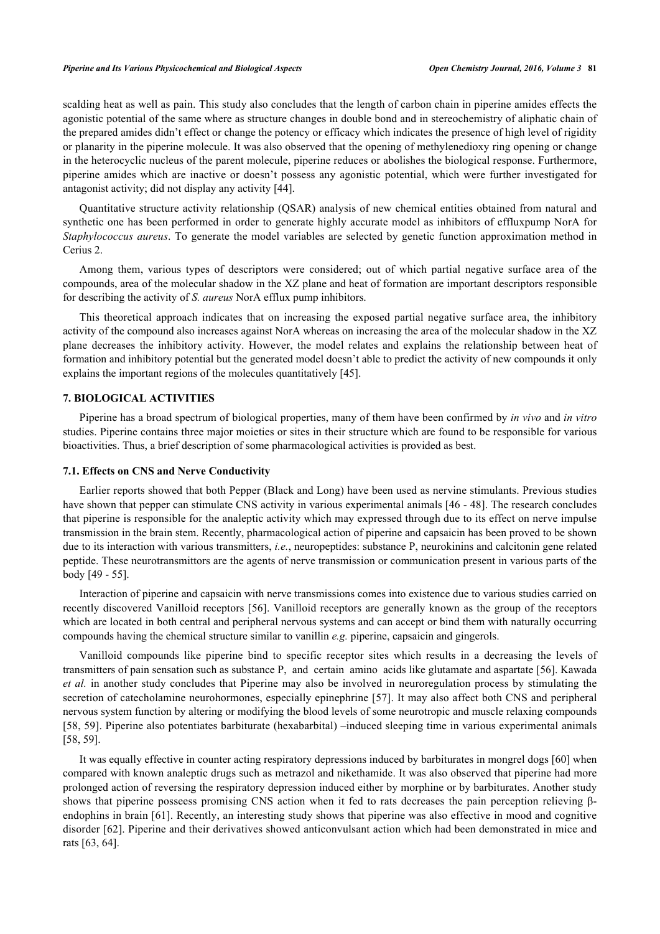scalding heat as well as pain. This study also concludes that the length of carbon chain in piperine amides effects the agonistic potential of the same where as structure changes in double bond and in stereochemistry of aliphatic chain of the prepared amides didn't effect or change the potency or efficacy which indicates the presence of high level of rigidity or planarity in the piperine molecule. It was also observed that the opening of methylenedioxy ring opening or change in the heterocyclic nucleus of the parent molecule, piperine reduces or abolishes the biological response. Furthermore, piperine amides which are inactive or doesn't possess any agonistic potential, which were further investigated for antagonist activity; did not display any activity [\[44](#page-14-12)].

Quantitative structure activity relationship (QSAR) analysis of new chemical entities obtained from natural and synthetic one has been performed in order to generate highly accurate model as inhibitors of effluxpump NorA for *Staphylococcus aureus*. To generate the model variables are selected by genetic function approximation method in Cerius 2.

Among them, various types of descriptors were considered; out of which partial negative surface area of the compounds, area of the molecular shadow in the XZ plane and heat of formation are important descriptors responsible for describing the activity of *S. aureus* NorA efflux pump inhibitors.

This theoretical approach indicates that on increasing the exposed partial negative surface area, the inhibitory activity of the compound also increases against NorA whereas on increasing the area of the molecular shadow in the XZ plane decreases the inhibitory activity. However, the model relates and explains the relationship between heat of formation and inhibitory potential but the generated model doesn't able to predict the activity of new compounds it only explains the important regions of the molecules quantitatively [\[45](#page-14-13)].

#### **7. BIOLOGICAL ACTIVITIES**

Piperine has a broad spectrum of biological properties, many of them have been confirmed by *in vivo* and *in vitro* studies. Piperine contains three major moieties or sites in their structure which are found to be responsible for various bioactivities. Thus, a brief description of some pharmacological activities is provided as best.

#### **7.1. Effects on CNS and Nerve Conductivity**

Earlier reports showed that both Pepper (Black and Long) have been used as nervine stimulants. Previous studies have shown that pepper can stimulate CNS activity in various experimental animals [\[46](#page-14-14) - [48](#page-14-15)]. The research concludes that piperine is responsible for the analeptic activity which may expressed through due to its effect on nerve impulse transmission in the brain stem. Recently, pharmacological action of piperine and capsaicin has been proved to be shown due to its interaction with various transmitters, *i.e.*, neuropeptides: substance P, neurokinins and calcitonin gene related peptide. These neurotransmittors are the agents of nerve transmission or communication present in various parts of the body [[49](#page-14-16) - [55\]](#page-15-0).

Interaction of piperine and capsaicin with nerve transmissions comes into existence due to various studies carried on recently discovered Vanilloid receptors [\[56](#page-15-1)]. Vanilloid receptors are generally known as the group of the receptors which are located in both central and peripheral nervous systems and can accept or bind them with naturally occurring compounds having the chemical structure similar to vanillin *e.g.* piperine, capsaicin and gingerols.

Vanilloid compounds like piperine bind to specific receptor sites which results in a decreasing the levels of transmitters of pain sensation such as substance P, and certain amino acids like glutamate and aspartate [\[56](#page-15-1)]. Kawada *et al.* in another study concludes that Piperine may also be involved in neuroregulation process by stimulating the secretion of catecholamine neurohormones, especially epinephrine [\[57](#page-15-2)]. It may also affect both CNS and peripheral nervous system function by altering or modifying the blood levels of some neurotropic and muscle relaxing compounds [\[58](#page-15-3), [59](#page-15-4)]. Piperine also potentiates barbiturate (hexabarbital) –induced sleeping time in various experimental animals [\[58](#page-15-3), [59](#page-15-4)].

It was equally effective in counter acting respiratory depressions induced by barbiturates in mongrel dogs [[60](#page-15-5)] when compared with known analeptic drugs such as metrazol and nikethamide. It was also observed that piperine had more prolonged action of reversing the respiratory depression induced either by morphine or by barbiturates. Another study shows that piperine posseess promising CNS action when it fed to rats decreases the pain perception relieving βendophins in brain [[61](#page-15-6)]. Recently, an interesting study shows that piperine was also effective in mood and cognitive disorder [[62\]](#page-15-7). Piperine and their derivatives showed anticonvulsant action which had been demonstrated in mice and rats [[63,](#page-15-8) [64\]](#page-15-9).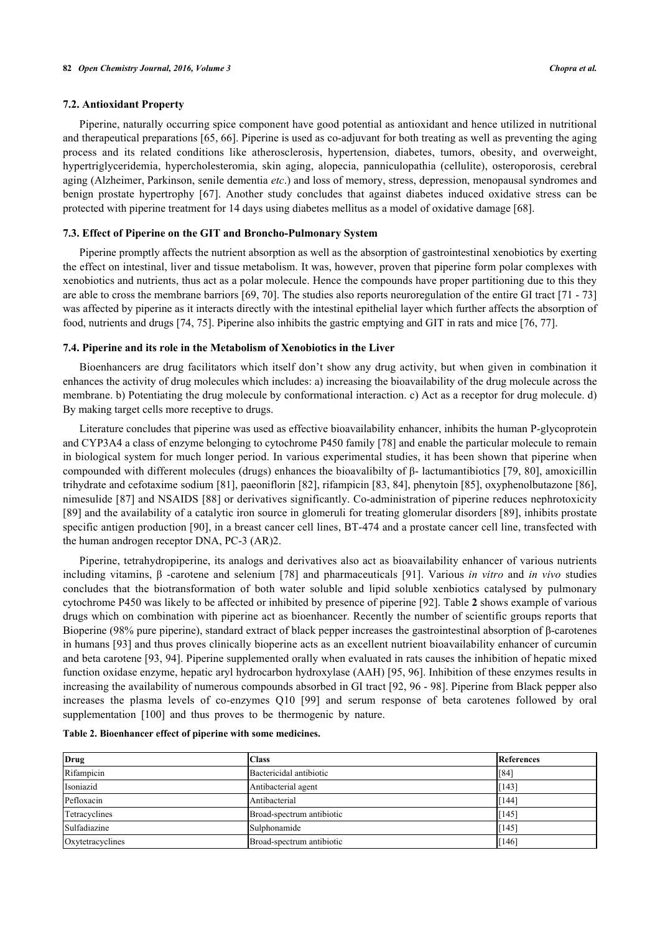#### **7.2. Antioxidant Property**

Piperine, naturally occurring spice component have good potential as antioxidant and hence utilized in nutritional and therapeutical preparations [\[65](#page-15-10), [66](#page-15-11)]. Piperine is used as co-adjuvant for both treating as well as preventing the aging process and its related conditions like atherosclerosis, hypertension, diabetes, tumors, obesity, and overweight, hypertriglyceridemia, hypercholesteromia, skin aging, alopecia, panniculopathia (cellulite), osteroporosis, cerebral aging (Alzheimer, Parkinson, senile dementia *etc*.) and loss of memory, stress, depression, menopausal syndromes and benign prostate hypertrophy [\[67\]](#page-15-12). Another study concludes that against diabetes induced oxidative stress can be protected with piperine treatment for 14 days using diabetes mellitus as a model of oxidative damage [[68\]](#page-15-13).

#### **7.3. Effect of Piperine on the GIT and Broncho-Pulmonary System**

Piperine promptly affects the nutrient absorption as well as the absorption of gastrointestinal xenobiotics by exerting the effect on intestinal, liver and tissue metabolism. It was, however, proven that piperine form polar complexes with xenobiotics and nutrients, thus act as a polar molecule. Hence the compounds have proper partitioning due to this they are able to cross the membrane barriors [\[69](#page-15-14), [70](#page-16-0)]. The studies also reports neuroregulation of the entire GI tract [[71](#page-16-1) - [73](#page-16-2)] was affected by piperine as it interacts directly with the intestinal epithelial layer which further affects the absorption of food, nutrients and drugs [[74,](#page-16-3) [75\]](#page-16-4). Piperine also inhibits the gastric emptying and GIT in rats and mice [\[76](#page-16-5), [77](#page-16-6)].

#### **7.4. Piperine and its role in the Metabolism of Xenobiotics in the Liver**

Bioenhancers are drug facilitators which itself don't show any drug activity, but when given in combination it enhances the activity of drug molecules which includes: a) increasing the bioavailability of the drug molecule across the membrane. b) Potentiating the drug molecule by conformational interaction. c) Act as a receptor for drug molecule. d) By making target cells more receptive to drugs.

Literature concludes that piperine was used as effective bioavailability enhancer, inhibits the human P-glycoprotein and CYP3A4 a class of enzyme belonging to cytochrome P450 family [\[78](#page-16-7)] and enable the particular molecule to remain in biological system for much longer period. In various experimental studies, it has been shown that piperine when compounded with different molecules (drugs) enhances the bioavalibilty of β- lactumantibiotics [\[79,](#page-16-8) [80](#page-16-9)], amoxicillin trihydrate and cefotaxime sodium [[81\]](#page-16-10), paeoniflorin [[82\]](#page-16-11), rifampicin [\[83](#page-16-12), [84](#page-16-13)], phenytoin [\[85](#page-16-14)], oxyphenolbutazone [[86\]](#page-16-15), nimesulide [[87](#page-16-16)] and NSAIDS [[88\]](#page-16-17) or derivatives significantly. Co-administration of piperine reduces nephrotoxicity [\[89](#page-16-18)] and the availability of a catalytic iron source in glomeruli for treating glomerular disorders [\[89](#page-16-18)], inhibits prostate specific antigen production [[90\]](#page-16-19), in a breast cancer cell lines, BT-474 and a prostate cancer cell line, transfected with the human androgen receptor DNA, PC-3 (AR)2.

Piperine, tetrahydropiperine, its analogs and derivatives also act as bioavailability enhancer of various nutrients including vitamins, β -carotene and selenium[[78](#page-16-7)] and pharmaceuticals [\[91](#page-16-20)]. Various *in vitro* and *in vivo* studies concludes that the biotransformation of both water soluble and lipid soluble xenbiotics catalysed by pulmonary cytochrome P450 was likely to be affected or inhibited by presence of piperine [[92\]](#page-16-21). Table **[2](#page-7-0)** shows example of various drugs which on combination with piperine act as bioenhancer. Recently the number of scientific groups reports that Bioperine (98% pure piperine), standard extract of black pepper increases the gastrointestinal absorption of β-carotenes in humans [\[93](#page-17-0)] and thus proves clinically bioperine acts as an excellent nutrient bioavailability enhancer of curcumin and beta carotene [[93](#page-17-0), [94](#page-17-1)]. Piperine supplemented orally when evaluated in rats causes the inhibition of hepatic mixed function oxidase enzyme, hepatic aryl hydrocarbon hydroxylase (AAH) [\[95](#page-17-2), [96](#page-17-3)]. Inhibition of these enzymes results in increasing the availability of numerous compounds absorbed in GI tract [\[92](#page-16-21), [96](#page-17-3) - [98\]](#page-17-4). Piperine from Black pepper also increases the plasma levels of co-enzymes Q10[[99](#page-17-5)] and serum response of beta carotenes followed by oral supplementation[[100\]](#page-17-6) and thus proves to be thermogenic by nature.

<span id="page-7-0"></span>

|  |  | Table 2. Bioenhancer effect of piperine with some medicines. |
|--|--|--------------------------------------------------------------|
|  |  |                                                              |

| <b>Drug</b>      | <b>Class</b>              | References  |
|------------------|---------------------------|-------------|
| Rifampicin       | Bactericidal antibiotic   | $\sqrt{84}$ |
| Isoniazid        | Antibacterial agent       | [143]       |
| Pefloxacin       | Antibacterial             | [144]       |
| Tetracyclines    | Broad-spectrum antibiotic | [145]       |
| Sulfadiazine     | Sulphonamide              | [145]       |
| Oxytetracyclines | Broad-spectrum antibiotic | [146]       |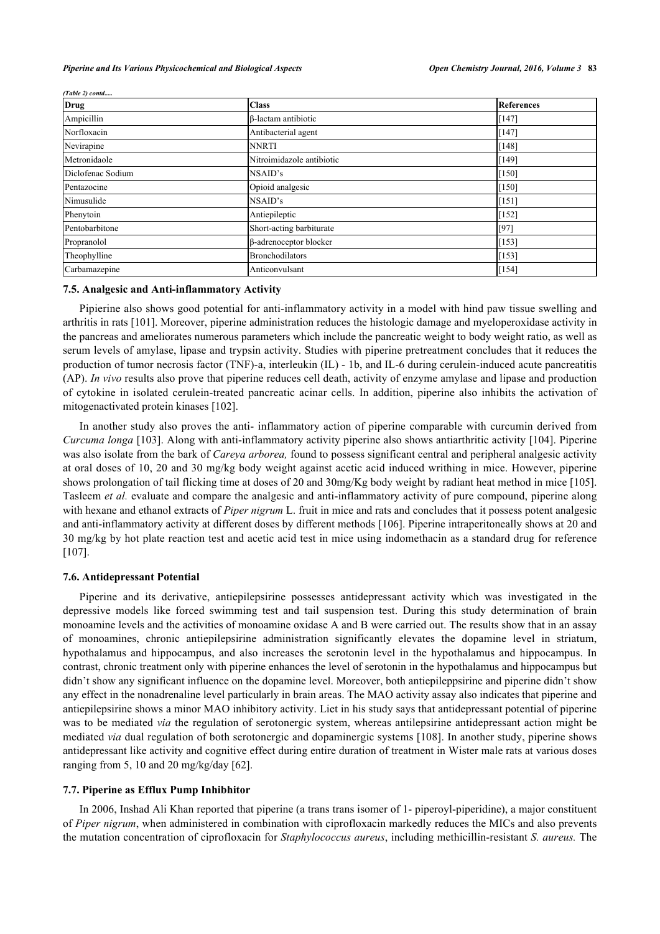| <b>Drug</b>       | <b>Class</b>                  | References    |
|-------------------|-------------------------------|---------------|
| Ampicillin        | <b>B-lactam antibiotic</b>    | $[147]$       |
| Norfloxacin       | Antibacterial agent           | [147]         |
| Nevirapine        | <b>NNRTI</b>                  | [148]         |
| Metronidaole      | Nitroimidazole antibiotic     | [149]         |
| Diclofenac Sodium | NSAID's                       | [150]         |
| Pentazocine       | Opioid analgesic              | [150]         |
| Nimusulide        | NSAID's                       | [151]         |
| Phenytoin         | Antiepileptic                 | $\vert$ [152] |
| Pentobarbitone    | Short-acting barbiturate      | [97]          |
| Propranolol       | $\beta$ -adrenoceptor blocker | [153]         |
| Theophylline      | <b>Bronchodilators</b>        | [153]         |
| Carbamazepine     | Anticonvulsant                | [154]         |

*(Table 2) contd.....*

# **7.5. Analgesic and Anti-inflammatory Activity**

Pipierine also shows good potential for anti-inflammatory activity in a model with hind paw tissue swelling and arthritis in rats [\[101](#page-17-7)]. Moreover, piperine administration reduces the histologic damage and myeloperoxidase activity in the pancreas and ameliorates numerous parameters which include the pancreatic weight to body weight ratio, as well as serum levels of amylase, lipase and trypsin activity. Studies with piperine pretreatment concludes that it reduces the production of tumor necrosis factor (TNF)-a, interleukin (IL) - 1b, and IL-6 during cerulein-induced acute pancreatitis (AP). *In vivo* results also prove that piperine reduces cell death, activity of enzyme amylase and lipase and production of cytokine in isolated cerulein-treated pancreatic acinar cells. In addition, piperine also inhibits the activation of mitogenactivated protein kinases [\[102](#page-17-8)].

In another study also proves the anti- inflammatory action of piperine comparable with curcumin derived from *Curcuma longa* [[103\]](#page-17-9). Along with anti-inflammatory activity piperine also shows antiarthritic activity [[104\]](#page-17-10). Piperine was also isolate from the bark of *Careya arborea,* found to possess significant central and peripheral analgesic activity at oral doses of 10, 20 and 30 mg/kg body weight against acetic acid induced writhing in mice. However, piperine shows prolongation of tail flicking time at doses of 20 and 30mg/Kg body weight by radiant heat method in mice [[105\]](#page-17-11). Tasleem *et al.* evaluate and compare the analgesic and anti-inflammatory activity of pure compound, piperine along with hexane and ethanol extracts of *Piper nigrum* L. fruit in mice and rats and concludes that it possess potent analgesic and anti-inflammatory activity at different doses by different methods [[106\]](#page-17-12). Piperine intraperitoneally shows at 20 and 30 mg/kg by hot plate reaction test and acetic acid test in mice using indomethacin as a standard drug for reference [\[107](#page-17-13)].

#### **7.6. Antidepressant Potential**

Piperine and its derivative, antiepilepsirine possesses antidepressant activity which was investigated in the depressive models like forced swimming test and tail suspension test. During this study determination of brain monoamine levels and the activities of monoamine oxidase A and B were carried out. The results show that in an assay of monoamines, chronic antiepilepsirine administration significantly elevates the dopamine level in striatum, hypothalamus and hippocampus, and also increases the serotonin level in the hypothalamus and hippocampus. In contrast, chronic treatment only with piperine enhances the level of serotonin in the hypothalamus and hippocampus but didn't show any significant influence on the dopamine level. Moreover, both antiepileppsirine and piperine didn't show any effect in the nonadrenaline level particularly in brain areas. The MAO activity assay also indicates that piperine and antiepilepsirine shows a minor MAO inhibitory activity. Liet in his study says that antidepressant potential of piperine was to be mediated *via* the regulation of serotonergic system, whereas antilepsirine antidepressant action might be mediated *via* dual regulation of both serotonergic and dopaminergic systems [[108\]](#page-17-14). In another study, piperine shows antidepressant like activity and cognitive effect during entire duration of treatment in Wister male rats at various doses ranging from 5, 10 and 20 mg/kg/day  $[62]$  $[62]$ .

#### **7.7. Piperine as Efflux Pump Inhibhitor**

In 2006, Inshad Ali Khan reported that piperine (a trans trans isomer of 1- piperoyl-piperidine), a major constituent of *Piper nigrum*, when administered in combination with ciprofloxacin markedly reduces the MICs and also prevents the mutation concentration of ciprofloxacin for *Staphylococcus aureus*, including methicillin-resistant *S. aureus.* The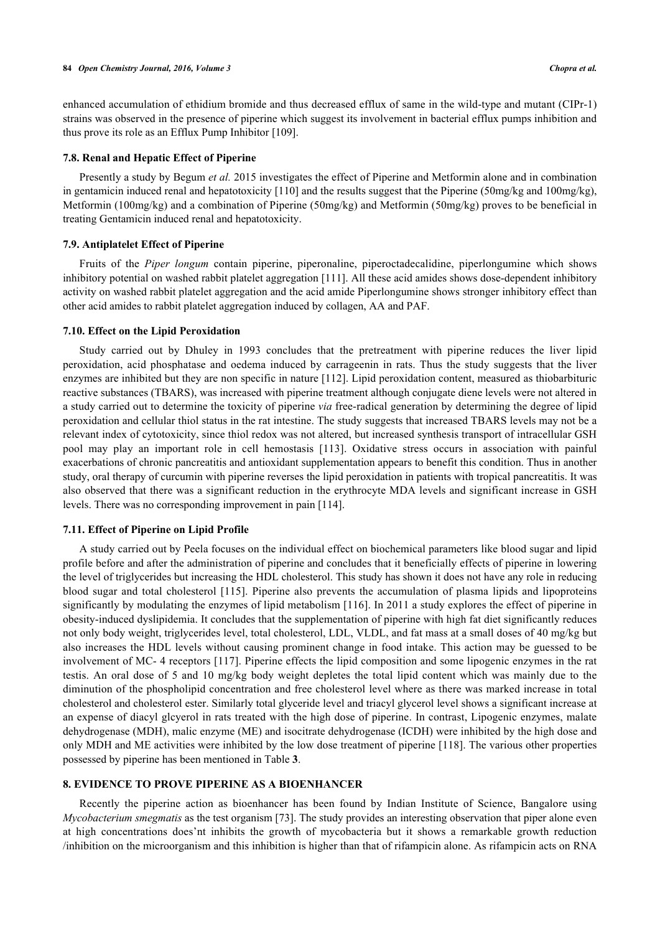enhanced accumulation of ethidium bromide and thus decreased efflux of same in the wild-type and mutant (CIPr-1) strains was observed in the presence of piperine which suggest its involvement in bacterial efflux pumps inhibition and thus prove its role as an Efflux Pump Inhibitor [[109\]](#page-17-15).

#### **7.8. Renal and Hepatic Effect of Piperine**

Presently a study by Begum *et al.* 2015 investigates the effect of Piperine and Metformin alone and in combination in gentamicin induced renal and hepatotoxicity [\[110](#page-17-16)] and the results suggest that the Piperine (50mg/kg and 100mg/kg), Metformin (100mg/kg) and a combination of Piperine (50mg/kg) and Metformin (50mg/kg) proves to be beneficial in treating Gentamicin induced renal and hepatotoxicity.

#### **7.9. Antiplatelet Effect of Piperine**

Fruits of the *Piper longum* contain piperine, piperonaline, piperoctadecalidine, piperlongumine which shows inhibitory potential on washed rabbit platelet aggregation [\[111](#page-17-17)]. All these acid amides shows dose-dependent inhibitory activity on washed rabbit platelet aggregation and the acid amide Piperlongumine shows stronger inhibitory effect than other acid amides to rabbit platelet aggregation induced by collagen, AA and PAF.

#### **7.10. Effect on the Lipid Peroxidation**

Study carried out by Dhuley in 1993 concludes that the pretreatment with piperine reduces the liver lipid peroxidation, acid phosphatase and oedema induced by carrageenin in rats. Thus the study suggests that the liver enzymes are inhibited but they are non specific in nature [[112\]](#page-17-18). Lipid peroxidation content, measured as thiobarbituric reactive substances (TBARS), was increased with piperine treatment although conjugate diene levels were not altered in a study carried out to determine the toxicity of piperine *via* free-radical generation by determining the degree of lipid peroxidation and cellular thiol status in the rat intestine. The study suggests that increased TBARS levels may not be a relevant index of cytotoxicity, since thiol redox was not altered, but increased synthesis transport of intracellular GSH pool may play an important role in cell hemostasis[[113\]](#page-18-0). Oxidative stress occurs in association with painful exacerbations of chronic pancreatitis and antioxidant supplementation appears to benefit this condition. Thus in another study, oral therapy of curcumin with piperine reverses the lipid peroxidation in patients with tropical pancreatitis. It was also observed that there was a significant reduction in the erythrocyte MDA levels and significant increase in GSH levels. There was no corresponding improvement in pain [\[114](#page-18-1)].

## **7.11. Effect of Piperine on Lipid Profile**

A study carried out by Peela focuses on the individual effect on biochemical parameters like blood sugar and lipid profile before and after the administration of piperine and concludes that it beneficially effects of piperine in lowering the level of triglycerides but increasing the HDL cholesterol. This study has shown it does not have any role in reducing blood sugar and total cholesterol [[115\]](#page-18-2). Piperine also prevents the accumulation of plasma lipids and lipoproteins significantly by modulating the enzymes of lipid metabolism [\[116\]](#page-18-3). In 2011 a study explores the effect of piperine in obesity-induced dyslipidemia. It concludes that the supplementation of piperine with high fat diet significantly reduces not only body weight, triglycerides level, total cholesterol, LDL, VLDL, and fat mass at a small doses of 40 mg/kg but also increases the HDL levels without causing prominent change in food intake. This action may be guessed to be involvement of MC- 4 receptors [[117\]](#page-18-4). Piperine effects the lipid composition and some lipogenic enzymes in the rat testis. An oral dose of 5 and 10 mg/kg body weight depletes the total lipid content which was mainly due to the diminution of the phospholipid concentration and free cholesterol level where as there was marked increase in total cholesterol and cholesterol ester. Similarly total glyceride level and triacyl glycerol level shows a significant increase at an expense of diacyl glcyerol in rats treated with the high dose of piperine. In contrast, Lipogenic enzymes, malate dehydrogenase (MDH), malic enzyme (ME) and isocitrate dehydrogenase (ICDH) were inhibited by the high dose and only MDH and ME activities were inhibited by the low dose treatment of piperine [\[118](#page-18-5)]. The various other properties possessed by piperine has been mentioned in Table **[3](#page--1-0)**.

## **8. EVIDENCE TO PROVE PIPERINE AS A BIOENHANCER**

Recently the piperine action as bioenhancer has been found by Indian Institute of Science, Bangalore using *Mycobacterium smegmatis* as the test organism [[73\]](#page-16-2). The study provides an interesting observation that piper alone even at high concentrations does'nt inhibits the growth of mycobacteria but it shows a remarkable growth reduction /inhibition on the microorganism and this inhibition is higher than that of rifampicin alone. As rifampicin acts on RNA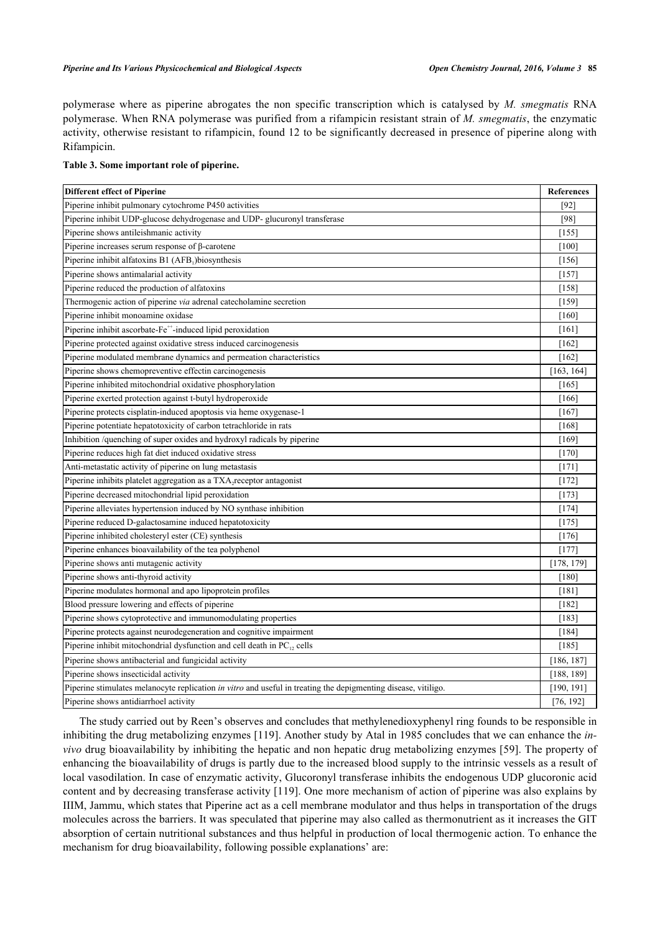polymerase where as piperine abrogates the non specific transcription which is catalysed by *M. smegmatis* RNA polymerase. When RNA polymerase was purified from a rifampicin resistant strain of *M. smegmatis*, the enzymatic activity, otherwise resistant to rifampicin, found 12 to be significantly decreased in presence of piperine along with Rifampicin.

## **Table 3. Some important role of piperine.**

| <b>Different effect of Piperine</b>                                                                                   | <b>References</b> |
|-----------------------------------------------------------------------------------------------------------------------|-------------------|
| Piperine inhibit pulmonary cytochrome P450 activities                                                                 | $[92]$            |
| Piperine inhibit UDP-glucose dehydrogenase and UDP-glucuronyl transferase                                             | [98]              |
| Piperine shows antileishmanic activity                                                                                | $[155]$           |
| Piperine increases serum response of $\beta$ -carotene                                                                | [100]             |
| Piperine inhibit alfatoxins B1 (AFB1)biosynthesis                                                                     | [156]             |
| Piperine shows antimalarial activity                                                                                  | $[157]$           |
| Piperine reduced the production of alfatoxins                                                                         | [158]             |
| Thermogenic action of piperine via adrenal catecholamine secretion                                                    | [159]             |
| Piperine inhibit monoamine oxidase                                                                                    | [160]             |
| Piperine inhibit ascorbate-Fe <sup>++</sup> -induced lipid peroxidation                                               | [161]             |
| Piperine protected against oxidative stress induced carcinogenesis                                                    | $[162]$           |
| Piperine modulated membrane dynamics and permeation characteristics                                                   | $[162]$           |
| Piperine shows chemopreventive effectin carcinogenesis                                                                | [163, 164]        |
| Piperine inhibited mitochondrial oxidative phosphorylation                                                            | [165]             |
| Piperine exerted protection against t-butyl hydroperoxide                                                             | [166]             |
| Piperine protects cisplatin-induced apoptosis via heme oxygenase-1                                                    | [167]             |
| Piperine potentiate hepatotoxicity of carbon tetrachloride in rats                                                    | [168]             |
| Inhibition /quenching of super oxides and hydroxyl radicals by piperine                                               | [169]             |
| Piperine reduces high fat diet induced oxidative stress                                                               | [170]             |
| Anti-metastatic activity of piperine on lung metastasis                                                               | [171]             |
| Piperine inhibits platelet aggregation as a TXA <sub>2</sub> receptor antagonist                                      | $[172]$           |
| Piperine decreased mitochondrial lipid peroxidation                                                                   | $[173]$           |
| Piperine alleviates hypertension induced by NO synthase inhibition                                                    | $[174]$           |
| Piperine reduced D-galactosamine induced hepatotoxicity                                                               | [175]             |
| Piperine inhibited cholesteryl ester (CE) synthesis                                                                   | [176]             |
| Piperine enhances bioavailability of the tea polyphenol                                                               | $[177]$           |
| Piperine shows anti mutagenic activity                                                                                | [178, 179]        |
| Piperine shows anti-thyroid activity                                                                                  | $[180]$           |
| Piperine modulates hormonal and apo lipoprotein profiles                                                              | $[181]$           |
| Blood pressure lowering and effects of piperine                                                                       | $[182]$           |
| Piperine shows cytoprotective and immunomodulating properties                                                         | $[183]$           |
| Piperine protects against neurodegeneration and cognitive impairment                                                  | [184]             |
| Piperine inhibit mitochondrial dysfunction and cell death in PC <sub>12</sub> cells                                   | $[185]$           |
| Piperine shows antibacterial and fungicidal activity                                                                  | [186, 187]        |
| Piperine shows insecticidal activity                                                                                  | [188, 189]        |
| Piperine stimulates melanocyte replication <i>in vitro</i> and useful in treating the depigmenting disease, vitiligo. | [190, 191]        |
| Piperine shows antidiarrhoel activity                                                                                 | [76, 192]         |

The study carried out by Reen's observes and concludes that methylenedioxyphenyl ring founds to be responsible in inhibiting the drug metabolizing enzymes [[119\]](#page-18-6). Another study by Atal in 1985 concludes that we can enhance the *invivo* drug bioavailability by inhibiting the hepatic and non hepatic drug metabolizing enzymes [\[59](#page-15-4)]. The property of enhancing the bioavailability of drugs is partly due to the increased blood supply to the intrinsic vessels as a result of local vasodilation. In case of enzymatic activity, Glucoronyl transferase inhibits the endogenous UDP glucoronic acid content and by decreasing transferase activity [\[119\]](#page-18-6). One more mechanism of action of piperine was also explains by IIIM, Jammu, which states that Piperine act as a cell membrane modulator and thus helps in transportation of the drugs molecules across the barriers. It was speculated that piperine may also called as thermonutrient as it increases the GIT absorption of certain nutritional substances and thus helpful in production of local thermogenic action. To enhance the mechanism for drug bioavailability, following possible explanations' are: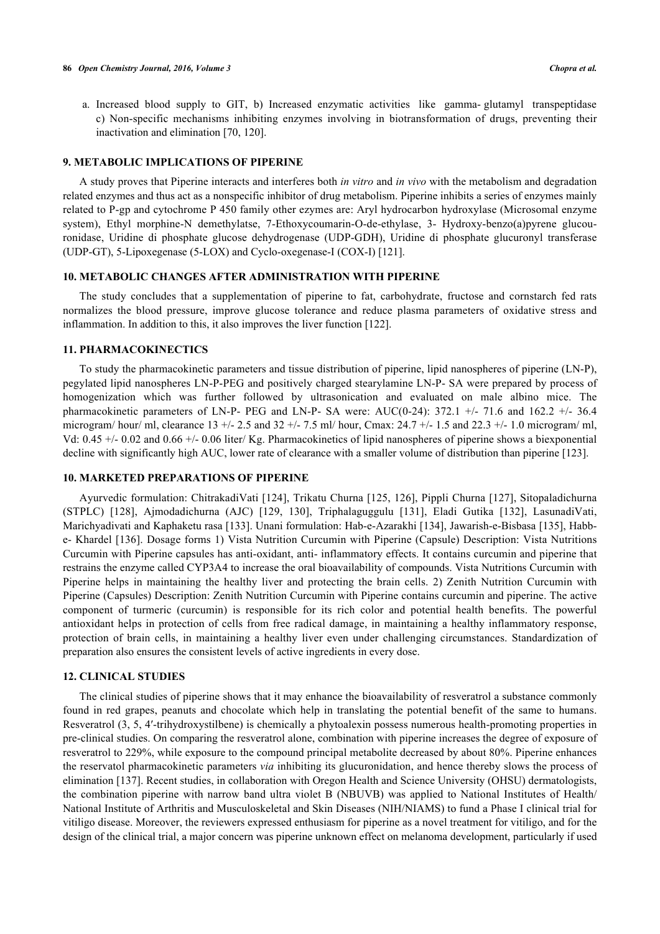a. Increased blood supply to GIT, b) Increased enzymatic activities like gamma- glutamyl transpeptidase c) Non-specific mechanisms inhibiting enzymes involving in biotransformation of drugs, preventing their inactivation and elimination [[70,](#page-16-0) [120\]](#page-18-7).

#### **9. METABOLIC IMPLICATIONS OF PIPERINE**

A study proves that Piperine interacts and interferes both *in vitro* and *in vivo* with the metabolism and degradation related enzymes and thus act as a nonspecific inhibitor of drug metabolism. Piperine inhibits a series of enzymes mainly related to P-gp and cytochrome P 450 family other ezymes are: Aryl hydrocarbon hydroxylase (Microsomal enzyme system), Ethyl morphine-N demethylatse, 7-Ethoxycoumarin-O-de-ethylase, 3- Hydroxy-benzo(a)pyrene glucouronidase, Uridine di phosphate glucose dehydrogenase (UDP-GDH), Uridine di phosphate glucuronyl transferase (UDP-GT), 5-Lipoxegenase (5-LOX) and Cyclo-oxegenase-I (COX-I) [[121\]](#page-18-8).

# **10. METABOLIC CHANGES AFTER ADMINISTRATION WITH PIPERINE**

The study concludes that a supplementation of piperine to fat, carbohydrate, fructose and cornstarch fed rats normalizes the blood pressure, improve glucose tolerance and reduce plasma parameters of oxidative stress and inflammation. In addition to this, it also improves the liver function [[122\]](#page-18-9).

# **11. PHARMACOKINECTICS**

To study the pharmacokinetic parameters and tissue distribution of piperine, lipid nanospheres of piperine (LN-P), pegylated lipid nanospheres LN-P-PEG and positively charged stearylamine LN-P- SA were prepared by process of homogenization which was further followed by ultrasonication and evaluated on male albino mice. The pharmacokinetic parameters of LN-P- PEG and LN-P- SA were: AUC(0-24): 372.1 +/- 71.6 and 162.2 +/- 36.4 microgram/ hour/ ml, clearance 13 +/- 2.5 and 32 +/- 7.5 ml/ hour, Cmax: 24.7 +/- 1.5 and 22.3 +/- 1.0 microgram/ ml, Vd: 0.45 +/- 0.02 and 0.66 +/- 0.06 liter/ Kg. Pharmacokinetics of lipid nanospheres of piperine shows a biexponential decline with significantly high AUC, lower rate of clearance with a smaller volume of distribution than piperine [[123\]](#page-18-10).

## **10. MARKETED PREPARATIONS OF PIPERINE**

Ayurvedic formulation: ChitrakadiVati [[124](#page-18-11)], Trikatu Churna [[125,](#page-18-12) [126](#page-18-13)], Pippli Churna [[127](#page-18-14)], Sitopaladichurna (STPLC)[[128](#page-18-15)], Ajmodadichurna (AJC) [\[129,](#page-18-16) [130\]](#page-18-17), Triphalaguggulu[[131](#page-18-18)], Eladi Gutika [\[132\]](#page-18-19), LasunadiVati, Marichyadivati and Kaphaketu rasa [[133](#page-18-20)]. Unani formulation: Hab-e-Azarakhi [\[134](#page-18-21)], Jawarish-e-Bisbasa [[135\]](#page-18-22), Habbe- Khardel [[136](#page-19-0)]. Dosage forms 1) Vista Nutrition Curcumin with Piperine (Capsule) Description: Vista Nutritions Curcumin with Piperine capsules has anti-oxidant, anti- inflammatory effects. It contains curcumin and piperine that restrains the enzyme called CYP3A4 to increase the oral bioavailability of compounds. Vista Nutritions Curcumin with Piperine helps in maintaining the healthy liver and protecting the brain cells. 2) Zenith Nutrition Curcumin with Piperine (Capsules) Description: Zenith Nutrition Curcumin with Piperine contains curcumin and piperine. The active component of turmeric (curcumin) is responsible for its rich color and potential health benefits. The powerful antioxidant helps in protection of cells from free radical damage, in maintaining a healthy inflammatory response, protection of brain cells, in maintaining a healthy liver even under challenging circumstances. Standardization of preparation also ensures the consistent levels of active ingredients in every dose.

# **12. CLINICAL STUDIES**

The clinical studies of piperine shows that it may enhance the bioavailability of resveratrol a substance commonly found in red grapes, peanuts and chocolate which help in translating the potential benefit of the same to humans. Resveratrol (3, 5, 4′-trihydroxystilbene) is chemically a phytoalexin possess numerous health-promoting properties in pre-clinical studies. On comparing the resveratrol alone, combination with piperine increases the degree of exposure of resveratrol to 229%, while exposure to the compound principal metabolite decreased by about 80%. Piperine enhances the reservatol pharmacokinetic parameters *via* inhibiting its glucuronidation, and hence thereby slows the process of elimination [\[137\]](#page-19-1). Recent studies, in collaboration with Oregon Health and Science University (OHSU) dermatologists, the combination piperine with narrow band ultra violet B (NBUVB) was applied to National Institutes of Health/ National Institute of Arthritis and Musculoskeletal and Skin Diseases (NIH/NIAMS) to fund a Phase I clinical trial for vitiligo disease. Moreover, the reviewers expressed enthusiasm for piperine as a novel treatment for vitiligo, and for the design of the clinical trial, a major concern was piperine unknown effect on melanoma development, particularly if used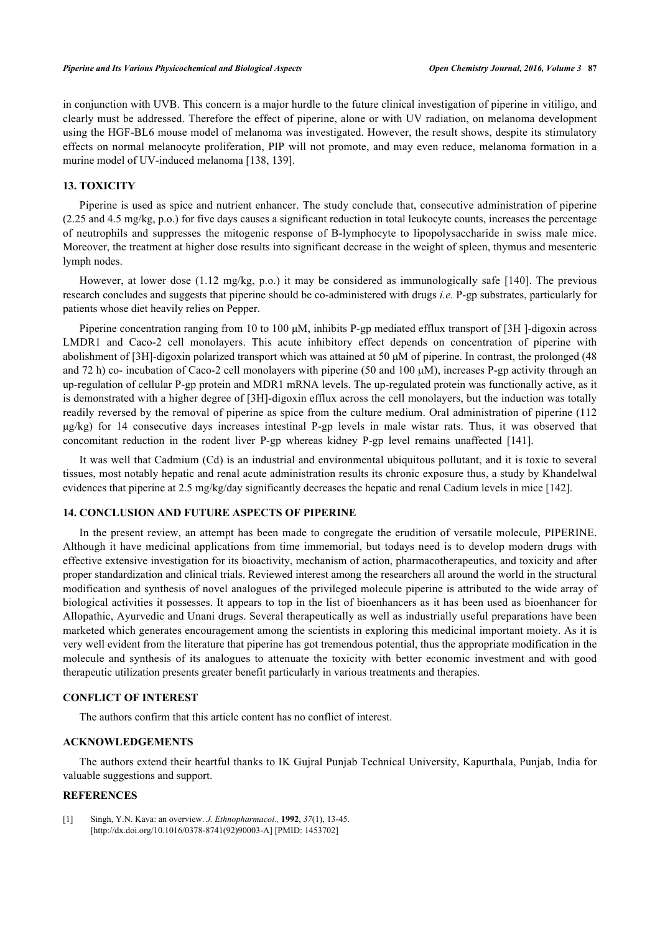in conjunction with UVB. This concern is a major hurdle to the future clinical investigation of piperine in vitiligo, and clearly must be addressed. Therefore the effect of piperine, alone or with UV radiation, on melanoma development using the HGF-BL6 mouse model of melanoma was investigated. However, the result shows, despite its stimulatory effects on normal melanocyte proliferation, PIP will not promote, and may even reduce, melanoma formation in a murine model of UV-induced melanoma [\[138](#page-19-2), [139](#page-19-3)].

#### **13. TOXICITY**

Piperine is used as spice and nutrient enhancer. The study conclude that, consecutive administration of piperine (2.25 and 4.5 mg/kg, p.o.) for five days causes a significant reduction in total leukocyte counts, increases the percentage of neutrophils and suppresses the mitogenic response of B-lymphocyte to lipopolysaccharide in swiss male mice. Moreover, the treatment at higher dose results into significant decrease in the weight of spleen, thymus and mesenteric lymph nodes.

However, at lower dose (1.12 mg/kg, p.o.) it may be considered as immunologically safe [[140\]](#page-19-4). The previous research concludes and suggests that piperine should be co-administered with drugs *i.e.* P-gp substrates, particularly for patients whose diet heavily relies on Pepper.

Piperine concentration ranging from 10 to 100 μM, inhibits P-gp mediated efflux transport of [3H ]-digoxin across LMDR1 and Caco-2 cell monolayers. This acute inhibitory effect depends on concentration of piperine with abolishment of [3H]-digoxin polarized transport which was attained at 50 μM of piperine. In contrast, the prolonged (48 and 72 h) co- incubation of Caco-2 cell monolayers with piperine (50 and 100  $\mu$ M), increases P-gp activity through an up-regulation of cellular P-gp protein and MDR1 mRNA levels. The up-regulated protein was functionally active, as it is demonstrated with a higher degree of [3H]-digoxin efflux across the cell monolayers, but the induction was totally readily reversed by the removal of piperine as spice from the culture medium. Oral administration of piperine (112 μg/kg) for 14 consecutive days increases intestinal P-gp levels in male wistar rats. Thus, it was observed that concomitant reduction in the rodent liver P-gp whereas kidney P-gp level remains unaffected[[141\]](#page-19-5).

It was well that Cadmium (Cd) is an industrial and environmental ubiquitous pollutant, and it is toxic to several tissues, most notably hepatic and renal acute administration results its chronic exposure thus, a study by Khandelwal evidences that piperine at 2.5 mg/kg/day significantly decreases the hepatic and renal Cadium levels in mice [[142\]](#page-19-6).

#### **14. CONCLUSION AND FUTURE ASPECTS OF PIPERINE**

In the present review, an attempt has been made to congregate the erudition of versatile molecule, PIPERINE. Although it have medicinal applications from time immemorial, but todays need is to develop modern drugs with effective extensive investigation for its bioactivity, mechanism of action, pharmacotherapeutics, and toxicity and after proper standardization and clinical trials. Reviewed interest among the researchers all around the world in the structural modification and synthesis of novel analogues of the privileged molecule piperine is attributed to the wide array of biological activities it possesses. It appears to top in the list of bioenhancers as it has been used as bioenhancer for Allopathic, Ayurvedic and Unani drugs. Several therapeutically as well as industrially useful preparations have been marketed which generates encouragement among the scientists in exploring this medicinal important moiety. As it is very well evident from the literature that piperine has got tremendous potential, thus the appropriate modification in the molecule and synthesis of its analogues to attenuate the toxicity with better economic investment and with good therapeutic utilization presents greater benefit particularly in various treatments and therapies.

# **CONFLICT OF INTEREST**

The authors confirm that this article content has no conflict of interest.

#### **ACKNOWLEDGEMENTS**

The authors extend their heartful thanks to IK Gujral Punjab Technical University, Kapurthala, Punjab, India for valuable suggestions and support.

# **REFERENCES**

<span id="page-12-0"></span>[1] Singh, Y.N. Kava: an overview. *J. Ethnopharmacol.,* **1992**, *37*(1), 13-45. [\[http://dx.doi.org/10.1016/0378-8741\(92\)90003-A](http://dx.doi.org/10.1016/0378-8741(92)90003-A)] [PMID: [1453702\]](http://www.ncbi.nlm.nih.gov/pubmed/1453702)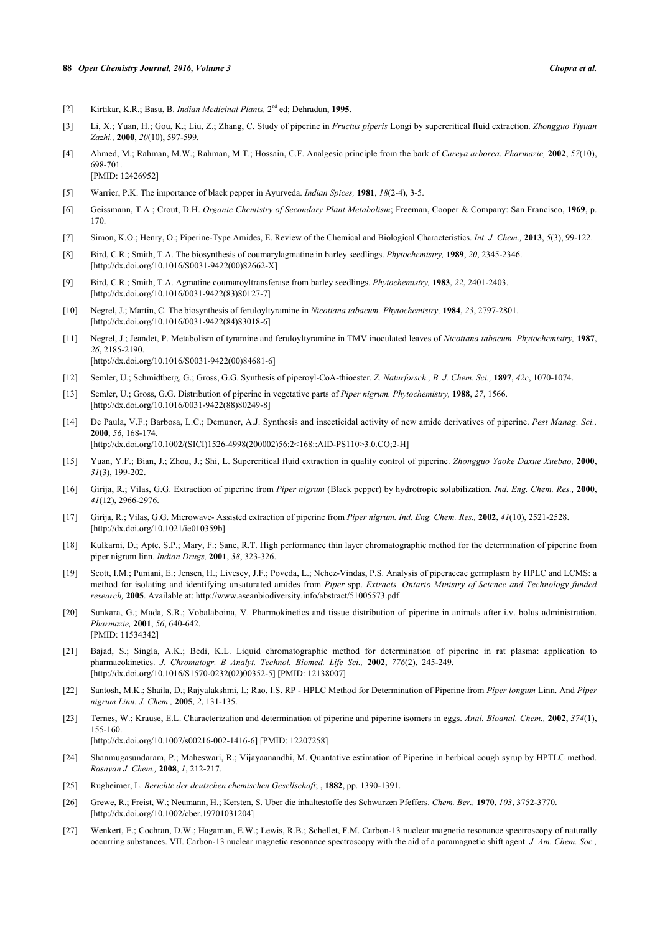#### **88** *Open Chemistry Journal, 2016, Volume 3 Chopra et al.*

- <span id="page-13-0"></span>[2] Kirtikar, K.R.; Basu, B. *Indian Medicinal Plants,* 2 nd ed; Dehradun, **1995**.
- <span id="page-13-1"></span>[3] Li, X.; Yuan, H.; Gou, K.; Liu, Z.; Zhang, C. Study of piperine in *Fructus piperis* Longi by supercritical fluid extraction. *Zhongguo Yiyuan Zazhi.,* **2000**, *20*(10), 597-599.
- <span id="page-13-2"></span>[4] Ahmed, M.; Rahman, M.W.; Rahman, M.T.; Hossain, C.F. Analgesic principle from the bark of *Careya arborea*. *Pharmazie,* **2002**, *57*(10), 698-701. [PMID: [12426952\]](http://www.ncbi.nlm.nih.gov/pubmed/12426952)
- <span id="page-13-3"></span>[5] Warrier, P.K. The importance of black pepper in Ayurveda. *Indian Spices,* **1981**, *18*(2-4), 3-5.
- <span id="page-13-4"></span>[6] Geissmann, T.A.; Crout, D.H. *Organic Chemistry of Secondary Plant Metabolism*; Freeman, Cooper & Company: San Francisco, **1969**, p. 170.
- <span id="page-13-5"></span>[7] Simon, K.O.; Henry, O.; Piperine-Type Amides, E. Review of the Chemical and Biological Characteristics. *Int. J. Chem.,* **2013**, *5*(3), 99-122.
- <span id="page-13-6"></span>[8] Bird, C.R.; Smith, T.A. The biosynthesis of coumarylagmatine in barley seedlings. *Phytochemistry,* **1989**, *20*, 2345-2346. [\[http://dx.doi.org/10.1016/S0031-9422\(00\)82662-X\]](http://dx.doi.org/10.1016/S0031-9422(00)82662-X)
- <span id="page-13-7"></span>[9] Bird, C.R.; Smith, T.A. Agmatine coumaroyltransferase from barley seedlings. *Phytochemistry,* **1983**, *22*, 2401-2403. [\[http://dx.doi.org/10.1016/0031-9422\(83\)80127-7](http://dx.doi.org/10.1016/0031-9422(83)80127-7)]
- <span id="page-13-8"></span>[10] Negrel, J.; Martin, C. The biosynthesis of feruloyltyramine in *Nicotiana tabacum. Phytochemistry,* **1984**, *23*, 2797-2801. [\[http://dx.doi.org/10.1016/0031-9422\(84\)83018-6](http://dx.doi.org/10.1016/0031-9422(84)83018-6)]
- <span id="page-13-9"></span>[11] Negrel, J.; Jeandet, P. Metabolism of tyramine and feruloyltyramine in TMV inoculated leaves of *Nicotiana tabacum. Phytochemistry,* **1987**, *26*, 2185-2190. [\[http://dx.doi.org/10.1016/S0031-9422\(00\)84681-6\]](http://dx.doi.org/10.1016/S0031-9422(00)84681-6)
- <span id="page-13-10"></span>[12] Semler, U.; Schmidtberg, G.; Gross, G.G. Synthesis of piperoyl-CoA-thioester. *Z. Naturforsch., B. J. Chem. Sci.,* **1897**, *42c*, 1070-1074.
- <span id="page-13-11"></span>[13] Semler, U.; Gross, G.G. Distribution of piperine in vegetative parts of *Piper nigrum. Phytochemistry,* **1988**, *27*, 1566. [\[http://dx.doi.org/10.1016/0031-9422\(88\)80249-8](http://dx.doi.org/10.1016/0031-9422(88)80249-8)]
- <span id="page-13-12"></span>[14] De Paula, V.F.; Barbosa, L.C.; Demuner, A.J. Synthesis and insecticidal activity of new amide derivatives of piperine. *Pest Manag. Sci.,* **2000**, *56*, 168-174. [\[http://dx.doi.org/10.1002/\(SICI\)1526-4998\(200002\)56:2<168::AID-PS110>3.0.CO;2-H](http://dx.doi.org/10.1002/(SICI)1526-4998(200002)56:2<168::AID-PS110>3.0.CO;2-H)]
- <span id="page-13-13"></span>[15] Yuan, Y.F.; Bian, J.; Zhou, J.; Shi, L. Supercritical fluid extraction in quality control of piperine. *Zhongguo Yaoke Daxue Xuebao,* **2000**, *31*(3), 199-202.
- <span id="page-13-14"></span>[16] Girija, R.; Vilas, G.G. Extraction of piperine from *Piper nigrum* (Black pepper) by hydrotropic solubilization. *Ind. Eng. Chem. Res.,* **2000**, *41*(12), 2966-2976.
- <span id="page-13-15"></span>[17] Girija, R.; Vilas, G.G. Microwave- Assisted extraction of piperine from *Piper nigrum. Ind. Eng. Chem. Res.,* **2002**, *41*(10), 2521-2528. [\[http://dx.doi.org/10.1021/ie010359b\]](http://dx.doi.org/10.1021/ie010359b)
- <span id="page-13-16"></span>[18] Kulkarni, D.; Apte, S.P.; Mary, F.; Sane, R.T. High performance thin layer chromatographic method for the determination of piperine from piper nigrum linn. *Indian Drugs,* **2001**, *38*, 323-326.
- <span id="page-13-17"></span>[19] Scott, I.M.; Puniani, E.; Jensen, H.; Livesey, J.F.; Poveda, L.; Nchez-Vindas, P.S. Analysis of piperaceae germplasm by HPLC and LCMS: a method for isolating and identifying unsaturated amides from *Piper* spp. *Extracts. Ontario Ministry of Science and Technology funded research,* **2005**. Available at: http://www.aseanbiodiversity.info/abstract/51005573.pdf
- <span id="page-13-18"></span>[20] Sunkara, G.; Mada, S.R.; Vobalaboina, V. Pharmokinetics and tissue distribution of piperine in animals after i.v. bolus administration. *Pharmazie,* **2001**, *56*, 640-642. [PMID: [11534342\]](http://www.ncbi.nlm.nih.gov/pubmed/11534342)
- <span id="page-13-19"></span>[21] Bajad, S.; Singla, A.K.; Bedi, K.L. Liquid chromatographic method for determination of piperine in rat plasma: application to pharmacokinetics. *J. Chromatogr. B Analyt. Technol. Biomed. Life Sci.,* **2002**, *776*(2), 245-249. [\[http://dx.doi.org/10.1016/S1570-0232\(02\)00352-5\]](http://dx.doi.org/10.1016/S1570-0232(02)00352-5) [PMID: [12138007](http://www.ncbi.nlm.nih.gov/pubmed/12138007)]
- <span id="page-13-20"></span>[22] Santosh, M.K.; Shaila, D.; Rajyalakshmi, I.; Rao, I.S. RP - HPLC Method for Determination of Piperine from *Piper longum* Linn. And *Piper nigrum Linn. J. Chem.,* **2005**, *2*, 131-135.
- [23] Ternes, W.; Krause, E.L. Characterization and determination of piperine and piperine isomers in eggs. *Anal. Bioanal. Chem.,* **2002**, *374*(1), 155-160.

[\[http://dx.doi.org/10.1007/s00216-002-1416-6\]](http://dx.doi.org/10.1007/s00216-002-1416-6) [PMID: [12207258](http://www.ncbi.nlm.nih.gov/pubmed/12207258)]

- <span id="page-13-21"></span>[24] Shanmugasundaram, P.; Maheswari, R.; Vijayaanandhi, M. Quantative estimation of Piperine in herbical cough syrup by HPTLC method. *Rasayan J. Chem.,* **2008**, *1*, 212-217.
- <span id="page-13-22"></span>[25] Rugheimer, L. *Berichte der deutschen chemischen Gesellschaft*; , **1882**, pp. 1390-1391.
- [26] Grewe, R.; Freist, W.; Neumann, H.; Kersten, S. Uber die inhaltestoffe des Schwarzen Pfeffers. *Chem. Ber.,* **1970**, *103*, 3752-3770. [\[http://dx.doi.org/10.1002/cber.19701031204\]](http://dx.doi.org/10.1002/cber.19701031204)
- [27] Wenkert, E.; Cochran, D.W.; Hagaman, E.W.; Lewis, R.B.; Schellet, F.M. Carbon-13 nuclear magnetic resonance spectroscopy of naturally occurring substances. VII. Carbon-13 nuclear magnetic resonance spectroscopy with the aid of a paramagnetic shift agent. *J. Am. Chem. Soc.,*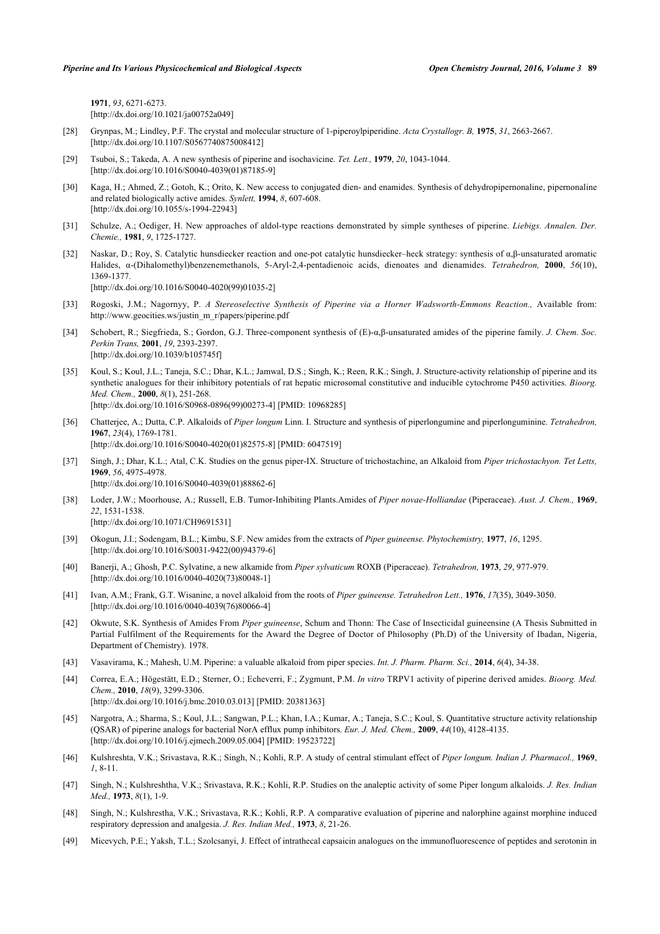**1971**, *93*, 6271-6273. [\[http://dx.doi.org/10.1021/ja00752a049](http://dx.doi.org/10.1021/ja00752a049)]

- [28] Grynpas, M.; Lindley, P.F. The crystal and molecular structure of 1-piperoylpiperidine. *Acta Crystallogr. B,* **1975**, *31*, 2663-2667. [\[http://dx.doi.org/10.1107/S0567740875008412](http://dx.doi.org/10.1107/S0567740875008412)]
- [29] Tsuboi, S.; Takeda, A. A new synthesis of piperine and isochavicine. *Tet. Lett.,* **1979**, *20*, 1043-1044. [\[http://dx.doi.org/10.1016/S0040-4039\(01\)87185-9\]](http://dx.doi.org/10.1016/S0040-4039(01)87185-9)
- [30] Kaga, H.; Ahmed, Z.; Gotoh, K.; Orito, K. New access to conjugated dien- and enamides. Synthesis of dehydropipernonaline, pipernonaline and related biologically active amides. *Synlett,* **1994**, *8*, 607-608. [\[http://dx.doi.org/10.1055/s-1994-22943](http://dx.doi.org/10.1055/s-1994-22943)]
- [31] Schulze, A.; Oediger, H. New approaches of aldol-type reactions demonstrated by simple syntheses of piperine. *Liebigs. Annalen. Der. Chemie.,* **1981**, *9*, 1725-1727.
- <span id="page-14-0"></span>[32] Naskar, D.; Roy, S. Catalytic hunsdiecker reaction and one-pot catalytic hunsdiecker–heck strategy: synthesis of α,β-unsaturated aromatic Halides, α-(Dihalomethyl)benzenemethanols, 5-Aryl-2,4-pentadienoic acids, dienoates and dienamides. *Tetrahedron,* **2000**, *56*(10), 1369-1377. [\[http://dx.doi.org/10.1016/S0040-4020\(99\)01035-2\]](http://dx.doi.org/10.1016/S0040-4020(99)01035-2)
- <span id="page-14-1"></span>[33] Rogoski, J.M.; Nagornyy, P. *A Stereoselective Synthesis of Piperine via a Horner Wadsworth-Emmons Reaction.*, Available from: http://www.geocities.ws/justin\_m\_r/papers/piperine.pdf
- <span id="page-14-2"></span>[34] Schobert, R.; Siegfrieda, S.; Gordon, G.J. Three-component synthesis of (E)-α,β-unsaturated amides of the piperine family. *J. Chem. Soc. Perkin Trans,* **2001**, *19*, 2393-2397. [\[http://dx.doi.org/10.1039/b105745f](http://dx.doi.org/10.1039/b105745f)]
- <span id="page-14-3"></span>[35] Koul, S.; Koul, J.L.; Taneja, S.C.; Dhar, K.L.; Jamwal, D.S.; Singh, K.; Reen, R.K.; Singh, J. Structure-activity relationship of piperine and its synthetic analogues for their inhibitory potentials of rat hepatic microsomal constitutive and inducible cytochrome P450 activities. *Bioorg. Med. Chem.,* **2000**, *8*(1), 251-268. [\[http://dx.doi.org/10.1016/S0968-0896\(99\)00273-4\]](http://dx.doi.org/10.1016/S0968-0896(99)00273-4) [PMID: [10968285](http://www.ncbi.nlm.nih.gov/pubmed/10968285)]
- <span id="page-14-4"></span>[36] Chatterjee, A.; Dutta, C.P. Alkaloids of *Piper longum* Linn. I. Structure and synthesis of piperlongumine and piperlonguminine. *Tetrahedron,* **1967**, *23*(4), 1769-1781. [\[http://dx.doi.org/10.1016/S0040-4020\(01\)82575-8\]](http://dx.doi.org/10.1016/S0040-4020(01)82575-8) [PMID: [6047519](http://www.ncbi.nlm.nih.gov/pubmed/6047519)]
- <span id="page-14-5"></span>[37] Singh, J.; Dhar, K.L.; Atal, C.K. Studies on the genus piper-IX. Structure of trichostachine, an Alkaloid from *Piper trichostachyon. Tet Letts,* **1969**, *56*, 4975-4978. [\[http://dx.doi.org/10.1016/S0040-4039\(01\)88862-6\]](http://dx.doi.org/10.1016/S0040-4039(01)88862-6)
- <span id="page-14-6"></span>[38] Loder, J.W.; Moorhouse, A.; Russell, E.B. Tumor-Inhibiting Plants.Amides of *Piper novae-Holliandae* (Piperaceae). *Aust. J. Chem.,* **1969**, *22*, 1531-1538. [\[http://dx.doi.org/10.1071/CH9691531\]](http://dx.doi.org/10.1071/CH9691531)
- <span id="page-14-7"></span>[39] Okogun, J.I.; Sodengam, B.L.; Kimbu, S.F. New amides from the extracts of *Piper guineense. Phytochemistry,* **1977**, *16*, 1295. [\[http://dx.doi.org/10.1016/S0031-9422\(00\)94379-6\]](http://dx.doi.org/10.1016/S0031-9422(00)94379-6)
- <span id="page-14-8"></span>[40] Banerji, A.; Ghosh, P.C. Sylvatine, a new alkamide from *Piper sylvaticum* ROXB (Piperaceae). *Tetrahedron,* **1973**, *29*, 977-979. [\[http://dx.doi.org/10.1016/0040-4020\(73\)80048-1](http://dx.doi.org/10.1016/0040-4020(73)80048-1)]
- <span id="page-14-9"></span>[41] Ivan, A.M.; Frank, G.T. Wisanine, a novel alkaloid from the roots of *Piper guineense. Tetrahedron Lett.,* **1976**, *17*(35), 3049-3050. [\[http://dx.doi.org/10.1016/0040-4039\(76\)80066-4](http://dx.doi.org/10.1016/0040-4039(76)80066-4)]
- <span id="page-14-10"></span>[42] Okwute, S.K. Synthesis of Amides From *Piper guineense*, Schum and Thonn: The Case of Insecticidal guineensine (A Thesis Submitted in Partial Fulfilment of the Requirements for the Award the Degree of Doctor of Philosophy (Ph.D) of the University of Ibadan, Nigeria, Department of Chemistry). 1978.
- <span id="page-14-11"></span>[43] Vasavirama, K.; Mahesh, U.M. Piperine: a valuable alkaloid from piper species. *Int. J. Pharm. Pharm. Sci.,* **2014**, *6*(4), 34-38.

[\[http://dx.doi.org/10.1016/j.ejmech.2009.05.004](http://dx.doi.org/10.1016/j.ejmech.2009.05.004)] [PMID: [19523722\]](http://www.ncbi.nlm.nih.gov/pubmed/19523722)

- <span id="page-14-12"></span>[44] Correa, E.A.; Högestätt, E.D.; Sterner, O.; Echeverri, F.; Zygmunt, P.M. *In vitro* TRPV1 activity of piperine derived amides. *Bioorg. Med. Chem.,* **2010**, *18*(9), 3299-3306. [\[http://dx.doi.org/10.1016/j.bmc.2010.03.013\]](http://dx.doi.org/10.1016/j.bmc.2010.03.013) [PMID: [20381363](http://www.ncbi.nlm.nih.gov/pubmed/20381363)]
- <span id="page-14-13"></span>[45] Nargotra, A.; Sharma, S.; Koul, J.L.; Sangwan, P.L.; Khan, I.A.; Kumar, A.; Taneja, S.C.; Koul, S. Quantitative structure activity relationship (QSAR) of piperine analogs for bacterial NorA efflux pump inhibitors. *Eur. J. Med. Chem.,* **2009**, *44*(10), 4128-4135.
- <span id="page-14-14"></span>[46] Kulshreshta, V.K.; Srivastava, R.K.; Singh, N.; Kohli, R.P. A study of central stimulant effect of *Piper longum. Indian J. Pharmacol.,* **1969**, *1*, 8-11.
- [47] Singh, N.; Kulshreshtha, V.K.; Srivastava, R.K.; Kohli, R.P. Studies on the analeptic activity of some Piper longum alkaloids. *J. Res. Indian Med.,* **1973**, *8*(1), 1-9.
- <span id="page-14-15"></span>[48] Singh, N.; Kulshrestha, V.K.; Srivastava, R.K.; Kohli, R.P. A comparative evaluation of piperine and nalorphine against morphine induced respiratory depression and analgesia. *J. Res. Indian Med.,* **1973**, *8*, 21-26.
- <span id="page-14-16"></span>[49] Micevych, P.E.; Yaksh, T.L.; Szolcsanyi, J. Effect of intrathecal capsaicin analogues on the immunofluorescence of peptides and serotonin in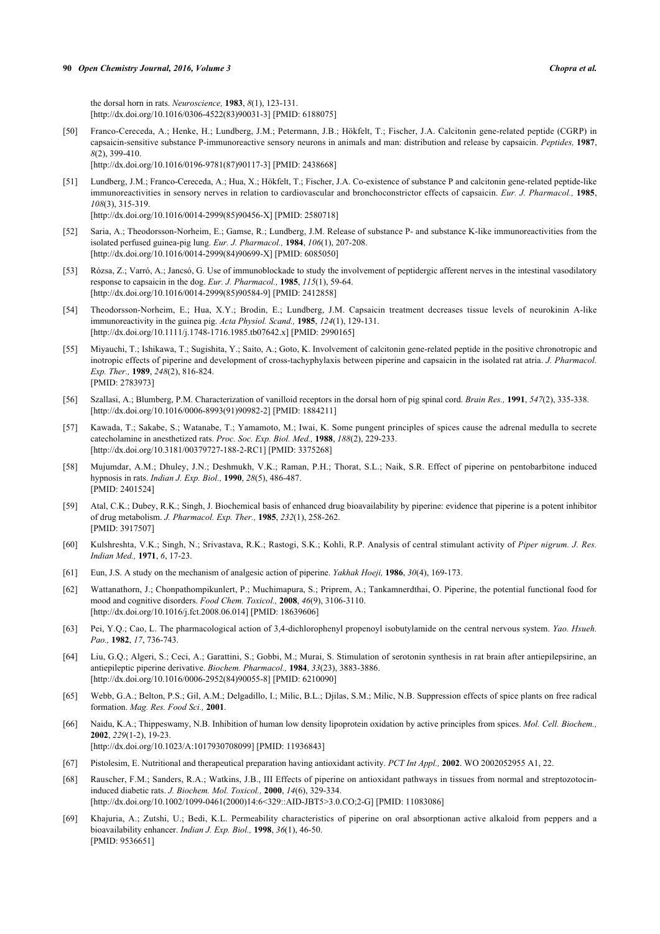the dorsal horn in rats. *Neuroscience,* **1983**, *8*(1), 123-131. [\[http://dx.doi.org/10.1016/0306-4522\(83\)90031-3](http://dx.doi.org/10.1016/0306-4522(83)90031-3)] [PMID: [6188075](http://www.ncbi.nlm.nih.gov/pubmed/6188075)]

[50] Franco-Cereceda, A.; Henke, H.; Lundberg, J.M.; Petermann, J.B.; Hökfelt, T.; Fischer, J.A. Calcitonin gene-related peptide (CGRP) in capsaicin-sensitive substance P-immunoreactive sensory neurons in animals and man: distribution and release by capsaicin. *Peptides,* **1987**, *8*(2), 399-410.

[\[http://dx.doi.org/10.1016/0196-9781\(87\)90117-3](http://dx.doi.org/10.1016/0196-9781(87)90117-3)] [PMID: [2438668](http://www.ncbi.nlm.nih.gov/pubmed/2438668)]

[51] Lundberg, J.M.; Franco-Cereceda, A.; Hua, X.; Hökfelt, T.; Fischer, J.A. Co-existence of substance P and calcitonin gene-related peptide-like immunoreactivities in sensory nerves in relation to cardiovascular and bronchoconstrictor effects of capsaicin. *Eur. J. Pharmacol.,* **1985**, *108*(3), 315-319.

[\[http://dx.doi.org/10.1016/0014-2999\(85\)90456-X](http://dx.doi.org/10.1016/0014-2999(85)90456-X)] [PMID: [2580718\]](http://www.ncbi.nlm.nih.gov/pubmed/2580718)

- [52] Saria, A.; Theodorsson-Norheim, E.; Gamse, R.; Lundberg, J.M. Release of substance P- and substance K-like immunoreactivities from the isolated perfused guinea-pig lung. *Eur. J. Pharmacol.,* **1984**, *106*(1), 207-208. [\[http://dx.doi.org/10.1016/0014-2999\(84\)90699-X](http://dx.doi.org/10.1016/0014-2999(84)90699-X)] [PMID: [6085050\]](http://www.ncbi.nlm.nih.gov/pubmed/6085050)
- [53] Rózsa, Z.; Varró, A.; Jancsó, G. Use of immunoblockade to study the involvement of peptidergic afferent nerves in the intestinal vasodilatory response to capsaicin in the dog. *Eur. J. Pharmacol.,* **1985**, *115*(1), 59-64. [\[http://dx.doi.org/10.1016/0014-2999\(85\)90584-9](http://dx.doi.org/10.1016/0014-2999(85)90584-9)] [PMID: [2412858](http://www.ncbi.nlm.nih.gov/pubmed/2412858)]
- [54] Theodorsson-Norheim, E.; Hua, X.Y.; Brodin, E.; Lundberg, J.M. Capsaicin treatment decreases tissue levels of neurokinin A-like immunoreactivity in the guinea pig. *Acta Physiol. Scand.,* **1985**, *124*(1), 129-131. [\[http://dx.doi.org/10.1111/j.1748-1716.1985.tb07642.x\]](http://dx.doi.org/10.1111/j.1748-1716.1985.tb07642.x) [PMID: [2990165](http://www.ncbi.nlm.nih.gov/pubmed/2990165)]
- <span id="page-15-0"></span>[55] Miyauchi, T.; Ishikawa, T.; Sugishita, Y.; Saito, A.; Goto, K. Involvement of calcitonin gene-related peptide in the positive chronotropic and inotropic effects of piperine and development of cross-tachyphylaxis between piperine and capsaicin in the isolated rat atria. *J. Pharmacol. Exp. Ther.,* **1989**, *248*(2), 816-824. [PMID: [2783973\]](http://www.ncbi.nlm.nih.gov/pubmed/2783973)
- <span id="page-15-1"></span>[56] Szallasi, A.; Blumberg, P.M. Characterization of vanilloid receptors in the dorsal horn of pig spinal cord. *Brain Res.,* **1991**, *547*(2), 335-338. [\[http://dx.doi.org/10.1016/0006-8993\(91\)90982-2](http://dx.doi.org/10.1016/0006-8993(91)90982-2)] [PMID: [1884211](http://www.ncbi.nlm.nih.gov/pubmed/1884211)]
- <span id="page-15-2"></span>[57] Kawada, T.; Sakabe, S.; Watanabe, T.; Yamamoto, M.; Iwai, K. Some pungent principles of spices cause the adrenal medulla to secrete catecholamine in anesthetized rats. *Proc. Soc. Exp. Biol. Med.,* **1988**, *188*(2), 229-233. [\[http://dx.doi.org/10.3181/00379727-188-2-RC1](http://dx.doi.org/10.3181/00379727-188-2-RC1)] [PMID: [3375268](http://www.ncbi.nlm.nih.gov/pubmed/3375268)]
- <span id="page-15-3"></span>[58] Mujumdar, A.M.; Dhuley, J.N.; Deshmukh, V.K.; Raman, P.H.; Thorat, S.L.; Naik, S.R. Effect of piperine on pentobarbitone induced hypnosis in rats. *Indian J. Exp. Biol.,* **1990**, *28*(5), 486-487. [PMID: [2401524\]](http://www.ncbi.nlm.nih.gov/pubmed/2401524)
- <span id="page-15-4"></span>[59] Atal, C.K.; Dubey, R.K.; Singh, J. Biochemical basis of enhanced drug bioavailability by piperine: evidence that piperine is a potent inhibitor of drug metabolism. *J. Pharmacol. Exp. Ther.,* **1985**, *232*(1), 258-262. [PMID: [3917507\]](http://www.ncbi.nlm.nih.gov/pubmed/3917507)
- <span id="page-15-5"></span>[60] Kulshreshta, V.K.; Singh, N.; Srivastava, R.K.; Rastogi, S.K.; Kohli, R.P. Analysis of central stimulant activity of *Piper nigrum. J. Res. Indian Med.,* **1971**, *6*, 17-23.
- <span id="page-15-6"></span>[61] Eun, J.S. A study on the mechanism of analgesic action of piperine. *Yakhak Hoeji,* **1986**, *30*(4), 169-173.
- <span id="page-15-7"></span>[62] Wattanathorn, J.; Chonpathompikunlert, P.; Muchimapura, S.; Priprem, A.; Tankamnerdthai, O. Piperine, the potential functional food for mood and cognitive disorders. *Food Chem. Toxicol.,* **2008**, *46*(9), 3106-3110. [\[http://dx.doi.org/10.1016/j.fct.2008.06.014](http://dx.doi.org/10.1016/j.fct.2008.06.014)] [PMID: [18639606](http://www.ncbi.nlm.nih.gov/pubmed/18639606)]
- <span id="page-15-8"></span>[63] Pei, Y.Q.; Cao, L. The pharmacological action of 3,4-dichlorophenyl propenoyl isobutylamide on the central nervous system. *Yao. Hsueh. Pao.,* **1982**, *17*, 736-743.
- <span id="page-15-9"></span>[64] Liu, G.Q.; Algeri, S.; Ceci, A.; Garattini, S.; Gobbi, M.; Murai, S. Stimulation of serotonin synthesis in rat brain after antiepilepsirine, an antiepileptic piperine derivative. *Biochem. Pharmacol.,* **1984**, *33*(23), 3883-3886. [\[http://dx.doi.org/10.1016/0006-2952\(84\)90055-8](http://dx.doi.org/10.1016/0006-2952(84)90055-8)] [PMID: [6210090](http://www.ncbi.nlm.nih.gov/pubmed/6210090)]
- <span id="page-15-10"></span>[65] Webb, G.A.; Belton, P.S.; Gil, A.M.; Delgadillo, I.; Milic, B.L.; Djilas, S.M.; Milic, N.B. Suppression effects of spice plants on free radical formation. *Mag. Res. Food Sci.,* **2001**.
- <span id="page-15-11"></span>[66] Naidu, K.A.; Thippeswamy, N.B. Inhibition of human low density lipoprotein oxidation by active principles from spices. *Mol. Cell. Biochem.,* **2002**, *229*(1-2), 19-23. [\[http://dx.doi.org/10.1023/A:1017930708099\]](http://dx.doi.org/10.1023/A:1017930708099) [PMID: [11936843](http://www.ncbi.nlm.nih.gov/pubmed/11936843)]
- <span id="page-15-12"></span>[67] Pistolesim, E. Nutritional and therapeutical preparation having antioxidant activity. *PCT Int Appl.,* **2002**. WO 2002052955 A1, 22.
- <span id="page-15-13"></span>[68] Rauscher, F.M.; Sanders, R.A.; Watkins, J.B., III Effects of piperine on antioxidant pathways in tissues from normal and streptozotocininduced diabetic rats. *J. Biochem. Mol. Toxicol.,* **2000**, *14*(6), 329-334. [\[http://dx.doi.org/10.1002/1099-0461\(2000\)14:6<329::AID-JBT5>3.0.CO;2-G](http://dx.doi.org/10.1002/1099-0461(2000)14:6<329::AID-JBT5>3.0.CO;2-G)] [PMID: [11083086](http://www.ncbi.nlm.nih.gov/pubmed/11083086)]
- <span id="page-15-14"></span>[69] Khajuria, A.; Zutshi, U.; Bedi, K.L. Permeability characteristics of piperine on oral absorptionan active alkaloid from peppers and a bioavailability enhancer. *Indian J. Exp. Biol.,* **1998**, *36*(1), 46-50. [PMID: [9536651\]](http://www.ncbi.nlm.nih.gov/pubmed/9536651)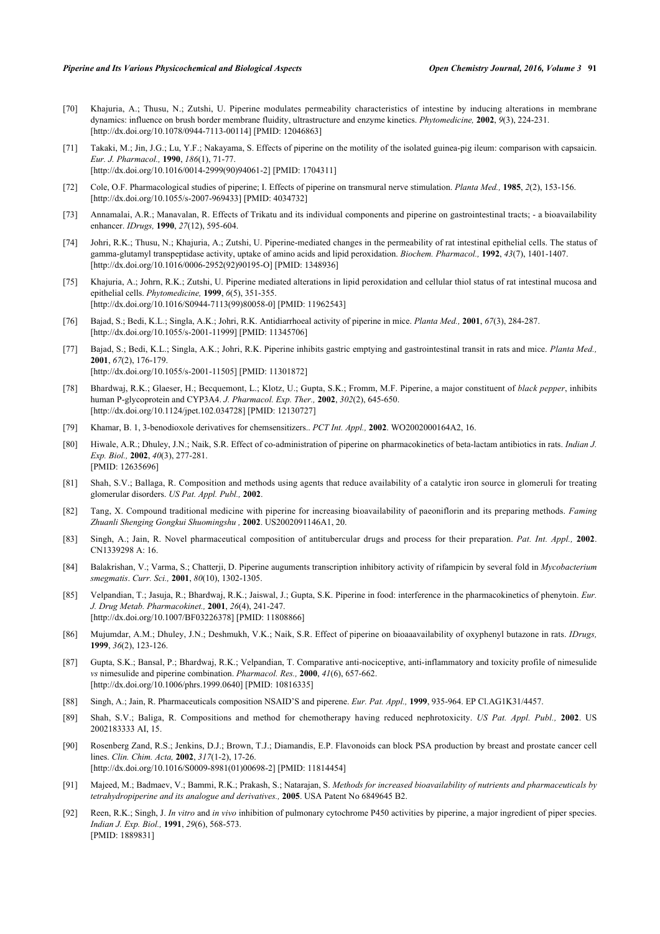- <span id="page-16-0"></span>[70] Khajuria, A.; Thusu, N.; Zutshi, U. Piperine modulates permeability characteristics of intestine by inducing alterations in membrane dynamics: influence on brush border membrane fluidity, ultrastructure and enzyme kinetics. *Phytomedicine,* **2002**, *9*(3), 224-231. [\[http://dx.doi.org/10.1078/0944-7113-00114](http://dx.doi.org/10.1078/0944-7113-00114)] [PMID: [12046863\]](http://www.ncbi.nlm.nih.gov/pubmed/12046863)
- <span id="page-16-1"></span>[71] Takaki, M.; Jin, J.G.; Lu, Y.F.; Nakayama, S. Effects of piperine on the motility of the isolated guinea-pig ileum: comparison with capsaicin. *Eur. J. Pharmacol.,* **1990**, *186*(1), 71-77. [\[http://dx.doi.org/10.1016/0014-2999\(90\)94061-2](http://dx.doi.org/10.1016/0014-2999(90)94061-2)] [PMID: [1704311](http://www.ncbi.nlm.nih.gov/pubmed/1704311)]
- [72] Cole, O.F. Pharmacological studies of piperine; I. Effects of piperine on transmural nerve stimulation. *Planta Med.,* **1985**, *2*(2), 153-156. [\[http://dx.doi.org/10.1055/s-2007-969433](http://dx.doi.org/10.1055/s-2007-969433)] [PMID: [4034732\]](http://www.ncbi.nlm.nih.gov/pubmed/4034732)
- <span id="page-16-2"></span>[73] Annamalai, A.R.; Manavalan, R. Effects of Trikatu and its individual components and piperine on gastrointestinal tracts; - a bioavailability enhancer. *IDrugs,* **1990**, *27*(12), 595-604.
- <span id="page-16-3"></span>[74] Johri, R.K.; Thusu, N.; Khajuria, A.; Zutshi, U. Piperine-mediated changes in the permeability of rat intestinal epithelial cells. The status of gamma-glutamyl transpeptidase activity, uptake of amino acids and lipid peroxidation. *Biochem. Pharmacol.,* **1992**, *43*(7), 1401-1407. [\[http://dx.doi.org/10.1016/0006-2952\(92\)90195-O](http://dx.doi.org/10.1016/0006-2952(92)90195-O)] [PMID: [1348936\]](http://www.ncbi.nlm.nih.gov/pubmed/1348936)
- <span id="page-16-4"></span>[75] Khajuria, A.; Johrn, R.K.; Zutshi, U. Piperine mediated alterations in lipid peroxidation and cellular thiol status of rat intestinal mucosa and epithelial cells. *Phytomedicine,* **1999**, *6*(5), 351-355. [\[http://dx.doi.org/10.1016/S0944-7113\(99\)80058-0\]](http://dx.doi.org/10.1016/S0944-7113(99)80058-0) [PMID: [11962543](http://www.ncbi.nlm.nih.gov/pubmed/11962543)]
- <span id="page-16-5"></span>[76] Bajad, S.; Bedi, K.L.; Singla, A.K.; Johri, R.K. Antidiarrhoeal activity of piperine in mice. *Planta Med.,* **2001**, *67*(3), 284-287. [\[http://dx.doi.org/10.1055/s-2001-11999](http://dx.doi.org/10.1055/s-2001-11999)] [PMID: [11345706\]](http://www.ncbi.nlm.nih.gov/pubmed/11345706)
- <span id="page-16-6"></span>[77] Bajad, S.; Bedi, K.L.; Singla, A.K.; Johri, R.K. Piperine inhibits gastric emptying and gastrointestinal transit in rats and mice. *Planta Med.,* **2001**, *67*(2), 176-179. [\[http://dx.doi.org/10.1055/s-2001-11505](http://dx.doi.org/10.1055/s-2001-11505)] [PMID: [11301872\]](http://www.ncbi.nlm.nih.gov/pubmed/11301872)
- <span id="page-16-7"></span>[78] Bhardwaj, R.K.; Glaeser, H.; Becquemont, L.; Klotz, U.; Gupta, S.K.; Fromm, M.F. Piperine, a major constituent of *black pepper*, inhibits human P-glycoprotein and CYP3A4. *J. Pharmacol. Exp. Ther.,* **2002**, *302*(2), 645-650. [\[http://dx.doi.org/10.1124/jpet.102.034728\]](http://dx.doi.org/10.1124/jpet.102.034728) [PMID: [12130727](http://www.ncbi.nlm.nih.gov/pubmed/12130727)]
- <span id="page-16-8"></span>[79] Khamar, B. 1, 3-benodioxole derivatives for chemsensitizers.. *PCT Int. Appl.,* **2002**. WO2002000164A2, 16.
- <span id="page-16-9"></span>[80] Hiwale, A.R.; Dhuley, J.N.; Naik, S.R. Effect of co-administration of piperine on pharmacokinetics of beta-lactam antibiotics in rats. *Indian J. Exp. Biol.,* **2002**, *40*(3), 277-281. [PMID: [12635696\]](http://www.ncbi.nlm.nih.gov/pubmed/12635696)
- <span id="page-16-10"></span>[81] Shah, S.V.; Ballaga, R. Composition and methods using agents that reduce availability of a catalytic iron source in glomeruli for treating glomerular disorders. *US Pat. Appl. Publ.,* **2002**.
- <span id="page-16-11"></span>[82] Tang, X. Compound traditional medicine with piperine for increasing bioavailability of paeoniflorin and its preparing methods. *Faming Zhuanli Shenging Gongkui Shuomingshu ,* **2002**. US2002091146A1, 20.
- <span id="page-16-12"></span>[83] Singh, A.; Jain, R. Novel pharmaceutical composition of antitubercular drugs and process for their preparation. *Pat. Int. Appl.,* **2002**. CN1339298 A: 16.
- <span id="page-16-13"></span>[84] Balakrishan, V.; Varma, S.; Chatterji, D. Piperine auguments transcription inhibitory activity of rifampicin by several fold in *Mycobacterium smegmatis*. *Curr. Sci.,* **2001**, *80*(10), 1302-1305.
- <span id="page-16-14"></span>[85] Velpandian, T.; Jasuja, R.; Bhardwaj, R.K.; Jaiswal, J.; Gupta, S.K. Piperine in food: interference in the pharmacokinetics of phenytoin. *Eur. J. Drug Metab. Pharmacokinet.,* **2001**, *26*(4), 241-247. [\[http://dx.doi.org/10.1007/BF03226378\]](http://dx.doi.org/10.1007/BF03226378) [PMID: [11808866](http://www.ncbi.nlm.nih.gov/pubmed/11808866)]
- <span id="page-16-15"></span>[86] Mujumdar, A.M.; Dhuley, J.N.; Deshmukh, V.K.; Naik, S.R. Effect of piperine on bioaaavailability of oxyphenyl butazone in rats. *IDrugs,* **1999**, *36*(2), 123-126.
- <span id="page-16-16"></span>[87] Gupta, S.K.; Bansal, P.; Bhardwaj, R.K.; Velpandian, T. Comparative anti-nociceptive, anti-inflammatory and toxicity profile of nimesulide *vs* nimesulide and piperine combination. *Pharmacol. Res.,* **2000**, *41*(6), 657-662. [\[http://dx.doi.org/10.1006/phrs.1999.0640\]](http://dx.doi.org/10.1006/phrs.1999.0640) [PMID: [10816335](http://www.ncbi.nlm.nih.gov/pubmed/10816335)]
- <span id="page-16-17"></span>[88] Singh, A.; Jain, R. Pharmaceuticals composition NSAID'S and piperene. *Eur. Pat. Appl.,* **1999**, 935-964. EP Cl.AG1K31/4457.
- <span id="page-16-18"></span>[89] Shah, S.V.; Baliga, R. Compositions and method for chemotherapy having reduced nephrotoxicity. *US Pat. Appl. Publ.,* **2002**. US 2002183333 AI, 15.
- <span id="page-16-19"></span>[90] Rosenberg Zand, R.S.; Jenkins, D.J.; Brown, T.J.; Diamandis, E.P. Flavonoids can block PSA production by breast and prostate cancer cell lines. *Clin. Chim. Acta,* **2002**, *317*(1-2), 17-26. [\[http://dx.doi.org/10.1016/S0009-8981\(01\)00698-2\]](http://dx.doi.org/10.1016/S0009-8981(01)00698-2) [PMID: [11814454](http://www.ncbi.nlm.nih.gov/pubmed/11814454)]
- <span id="page-16-20"></span>[91] Majeed, M.; Badmaev, V.; Bammi, R.K.; Prakash, S.; Natarajan, S. *Methods for increased bioavailability of nutrients and pharmaceuticals by tetrahydropiperine and its analogue and derivatives.,* **2005**. USA Patent No 6849645 B2.
- <span id="page-16-21"></span>[92] Reen, R.K.; Singh, J. *In vitro* and *in vivo* inhibition of pulmonary cytochrome P450 activities by piperine, a major ingredient of piper species. *Indian J. Exp. Biol.,* **1991**, *29*(6), 568-573. [PMID: [1889831\]](http://www.ncbi.nlm.nih.gov/pubmed/1889831)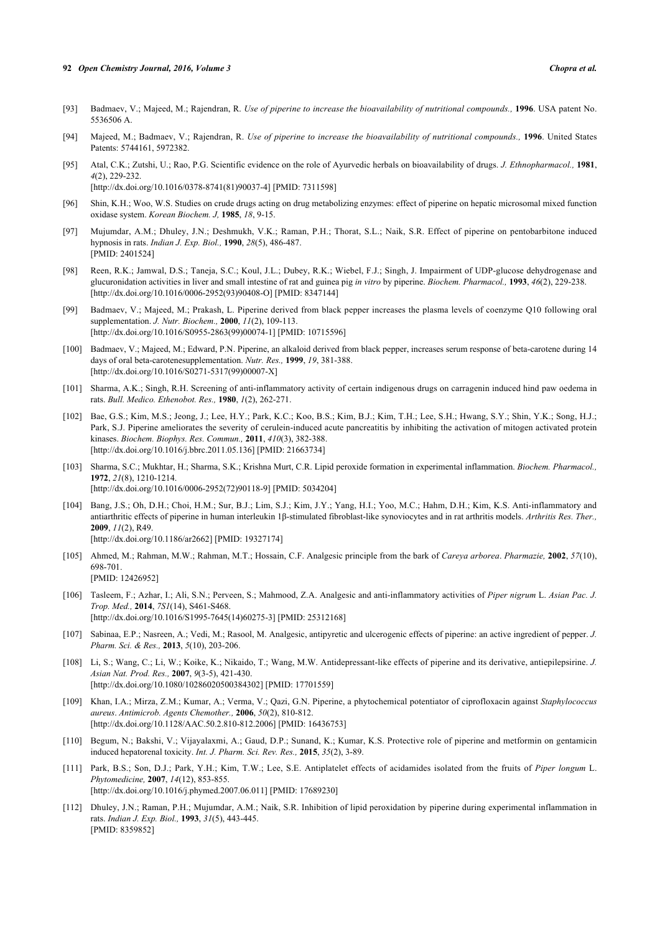#### **92** *Open Chemistry Journal, 2016, Volume 3 Chopra et al.*

- <span id="page-17-0"></span>[93] Badmaev, V.; Majeed, M.; Rajendran, R. *Use of piperine to increase the bioavailability of nutritional compounds.*, 1996. USA patent No. 5536506 A.
- <span id="page-17-1"></span>[94] Majeed, M.; Badmaev, V.; Rajendran, R. *Use of piperine to increase the bioavailability of nutritional compounds.*, 1996. United States Patents: 5744161, 5972382.
- <span id="page-17-2"></span>[95] Atal, C.K.; Zutshi, U.; Rao, P.G. Scientific evidence on the role of Ayurvedic herbals on bioavailability of drugs. *J. Ethnopharmacol.,* **1981**, *4*(2), 229-232. [\[http://dx.doi.org/10.1016/0378-8741\(81\)90037-4](http://dx.doi.org/10.1016/0378-8741(81)90037-4)] [PMID: [7311598](http://www.ncbi.nlm.nih.gov/pubmed/7311598)]
- <span id="page-17-3"></span>[96] Shin, K.H.; Woo, W.S. Studies on crude drugs acting on drug metabolizing enzymes: effect of piperine on hepatic microsomal mixed function oxidase system. *Korean Biochem. J,* **1985**, *18*, 9-15.
- [97] Mujumdar, A.M.; Dhuley, J.N.; Deshmukh, V.K.; Raman, P.H.; Thorat, S.L.; Naik, S.R. Effect of piperine on pentobarbitone induced hypnosis in rats. *Indian J. Exp. Biol.,* **1990**, *28*(5), 486-487. [PMID: [2401524\]](http://www.ncbi.nlm.nih.gov/pubmed/2401524)
- <span id="page-17-4"></span>[98] Reen, R.K.; Jamwal, D.S.; Taneja, S.C.; Koul, J.L.; Dubey, R.K.; Wiebel, F.J.; Singh, J. Impairment of UDP-glucose dehydrogenase and glucuronidation activities in liver and small intestine of rat and guinea pig *in vitro* by piperine. *Biochem. Pharmacol.,* **1993**, *46*(2), 229-238. [\[http://dx.doi.org/10.1016/0006-2952\(93\)90408-O](http://dx.doi.org/10.1016/0006-2952(93)90408-O)] [PMID: [8347144\]](http://www.ncbi.nlm.nih.gov/pubmed/8347144)
- <span id="page-17-5"></span>[99] Badmaev, V.; Majeed, M.; Prakash, L. Piperine derived from black pepper increases the plasma levels of coenzyme Q10 following oral supplementation. *J. Nutr. Biochem.,* **2000**, *11*(2), 109-113. [\[http://dx.doi.org/10.1016/S0955-2863\(99\)00074-1\]](http://dx.doi.org/10.1016/S0955-2863(99)00074-1) [PMID: [10715596](http://www.ncbi.nlm.nih.gov/pubmed/10715596)]
- <span id="page-17-6"></span>[100] Badmaev, V.; Majeed, M.; Edward, P.N. Piperine, an alkaloid derived from black pepper, increases serum response of beta-carotene during 14 days of oral beta-carotenesupplementation. *Nutr. Res.,* **1999**, *19*, 381-388. [\[http://dx.doi.org/10.1016/S0271-5317\(99\)00007-X\]](http://dx.doi.org/10.1016/S0271-5317(99)00007-X)
- <span id="page-17-7"></span>[101] Sharma, A.K.; Singh, R.H. Screening of anti-inflammatory activity of certain indigenous drugs on carragenin induced hind paw oedema in rats. *Bull. Medico. Ethenobot. Res.,* **1980**, *1*(2), 262-271.
- <span id="page-17-8"></span>[102] Bae, G.S.; Kim, M.S.; Jeong, J.; Lee, H.Y.; Park, K.C.; Koo, B.S.; Kim, B.J.; Kim, T.H.; Lee, S.H.; Hwang, S.Y.; Shin, Y.K.; Song, H.J.; Park, S.J. Piperine ameliorates the severity of cerulein-induced acute pancreatitis by inhibiting the activation of mitogen activated protein kinases. *Biochem. Biophys. Res. Commun.,* **2011**, *410*(3), 382-388. [\[http://dx.doi.org/10.1016/j.bbrc.2011.05.136](http://dx.doi.org/10.1016/j.bbrc.2011.05.136)] [PMID: [21663734\]](http://www.ncbi.nlm.nih.gov/pubmed/21663734)
- <span id="page-17-9"></span>[103] Sharma, S.C.; Mukhtar, H.; Sharma, S.K.; Krishna Murt, C.R. Lipid peroxide formation in experimental inflammation. *Biochem. Pharmacol.,* **1972**, *21*(8), 1210-1214. [\[http://dx.doi.org/10.1016/0006-2952\(72\)90118-9](http://dx.doi.org/10.1016/0006-2952(72)90118-9)] [PMID: [5034204](http://www.ncbi.nlm.nih.gov/pubmed/5034204)]
- <span id="page-17-10"></span>[104] Bang, J.S.; Oh, D.H.; Choi, H.M.; Sur, B.J.; Lim, S.J.; Kim, J.Y.; Yang, H.I.; Yoo, M.C.; Hahm, D.H.; Kim, K.S. Anti-inflammatory and antiarthritic effects of piperine in human interleukin 1β-stimulated fibroblast-like synoviocytes and in rat arthritis models. *Arthritis Res. Ther.,* **2009**, *11*(2), R49. [\[http://dx.doi.org/10.1186/ar2662](http://dx.doi.org/10.1186/ar2662)] [PMID: [19327174\]](http://www.ncbi.nlm.nih.gov/pubmed/19327174)
- <span id="page-17-11"></span>[105] Ahmed, M.; Rahman, M.W.; Rahman, M.T.; Hossain, C.F. Analgesic principle from the bark of *Careya arborea*. *Pharmazie,* **2002**, *57*(10), 698-701. [PMID: [12426952\]](http://www.ncbi.nlm.nih.gov/pubmed/12426952)
- <span id="page-17-12"></span>[106] Tasleem, F.; Azhar, I.; Ali, S.N.; Perveen, S.; Mahmood, Z.A. Analgesic and anti-inflammatory activities of *Piper nigrum* L. *Asian Pac. J. Trop. Med.,* **2014**, *7S1*(14), S461-S468. [\[http://dx.doi.org/10.1016/S1995-7645\(14\)60275-3\]](http://dx.doi.org/10.1016/S1995-7645(14)60275-3) [PMID: [25312168](http://www.ncbi.nlm.nih.gov/pubmed/25312168)]
- <span id="page-17-13"></span>[107] Sabinaa, E.P.; Nasreen, A.; Vedi, M.; Rasool, M. Analgesic, antipyretic and ulcerogenic effects of piperine: an active ingredient of pepper. *J. Pharm. Sci. & Res.,* **2013**, *5*(10), 203-206.
- <span id="page-17-14"></span>[108] Li, S.; Wang, C.; Li, W.; Koike, K.; Nikaido, T.; Wang, M.W. Antidepressant-like effects of piperine and its derivative, antiepilepsirine. *J. Asian Nat. Prod. Res.,* **2007**, *9*(3-5), 421-430. [\[http://dx.doi.org/10.1080/10286020500384302\]](http://dx.doi.org/10.1080/10286020500384302) [PMID: [17701559](http://www.ncbi.nlm.nih.gov/pubmed/17701559)]
- <span id="page-17-15"></span>[109] Khan, I.A.; Mirza, Z.M.; Kumar, A.; Verma, V.; Qazi, G.N. Piperine, a phytochemical potentiator of ciprofloxacin against *Staphylococcus aureus*. *Antimicrob. Agents Chemother.,* **2006**, *50*(2), 810-812. [\[http://dx.doi.org/10.1128/AAC.50.2.810-812.2006](http://dx.doi.org/10.1128/AAC.50.2.810-812.2006)] [PMID: [16436753\]](http://www.ncbi.nlm.nih.gov/pubmed/16436753)
- <span id="page-17-16"></span>[110] Begum, N.; Bakshi, V.; Vijayalaxmi, A.; Gaud, D.P.; Sunand, K.; Kumar, K.S. Protective role of piperine and metformin on gentamicin induced hepatorenal toxicity. *Int. J. Pharm. Sci. Rev. Res.,* **2015**, *35*(2), 3-89.
- <span id="page-17-17"></span>[111] Park, B.S.; Son, D.J.; Park, Y.H.; Kim, T.W.; Lee, S.E. Antiplatelet effects of acidamides isolated from the fruits of *Piper longum* L. *Phytomedicine,* **2007**, *14*(12), 853-855. [\[http://dx.doi.org/10.1016/j.phymed.2007.06.011\]](http://dx.doi.org/10.1016/j.phymed.2007.06.011) [PMID: [17689230](http://www.ncbi.nlm.nih.gov/pubmed/17689230)]
- <span id="page-17-18"></span>[112] Dhuley, J.N.; Raman, P.H.; Mujumdar, A.M.; Naik, S.R. Inhibition of lipid peroxidation by piperine during experimental inflammation in rats. *Indian J. Exp. Biol.,* **1993**, *31*(5), 443-445. [PMID: [8359852\]](http://www.ncbi.nlm.nih.gov/pubmed/8359852)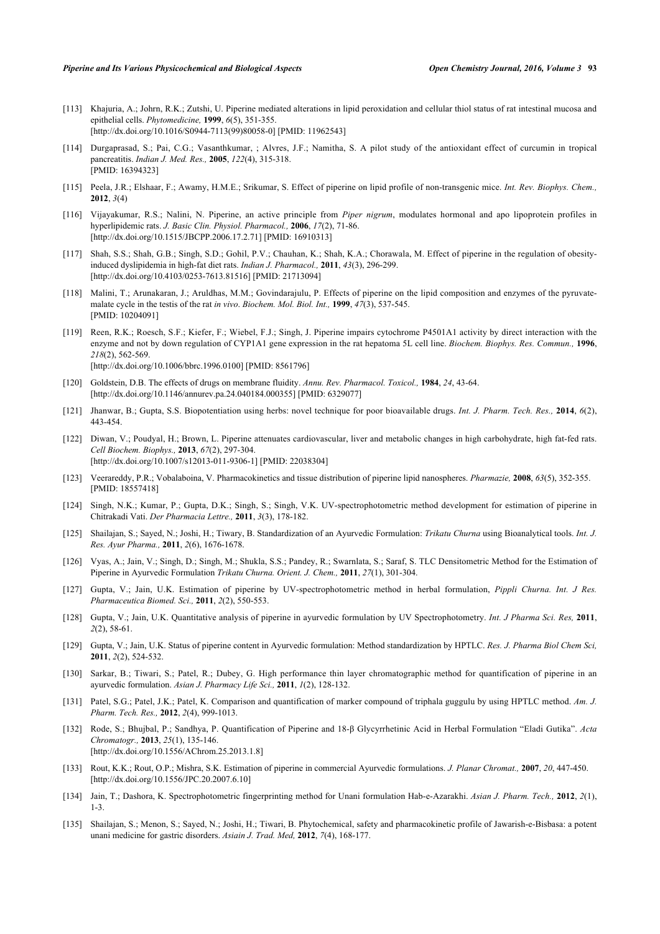- <span id="page-18-0"></span>[113] Khajuria, A.; Johrn, R.K.; Zutshi, U. Piperine mediated alterations in lipid peroxidation and cellular thiol status of rat intestinal mucosa and epithelial cells. *Phytomedicine,* **1999**, *6*(5), 351-355. [\[http://dx.doi.org/10.1016/S0944-7113\(99\)80058-0\]](http://dx.doi.org/10.1016/S0944-7113(99)80058-0) [PMID: [11962543](http://www.ncbi.nlm.nih.gov/pubmed/11962543)]
- <span id="page-18-1"></span>[114] Durgaprasad, S.; Pai, C.G.; Vasanthkumar, ; Alvres, J.F.; Namitha, S. A pilot study of the antioxidant effect of curcumin in tropical pancreatitis. *Indian J. Med. Res.,* **2005**, *122*(4), 315-318. [PMID: [16394323\]](http://www.ncbi.nlm.nih.gov/pubmed/16394323)
- <span id="page-18-2"></span>[115] Peela, J.R.; Elshaar, F.; Awamy, H.M.E.; Srikumar, S. Effect of piperine on lipid profile of non-transgenic mice. *Int. Rev. Biophys. Chem.,* **2012**, *3*(4)
- <span id="page-18-3"></span>[116] Vijayakumar, R.S.; Nalini, N. Piperine, an active principle from *Piper nigrum*, modulates hormonal and apo lipoprotein profiles in hyperlipidemic rats. *J. Basic Clin. Physiol. Pharmacol.,* **2006**, *17*(2), 71-86. [\[http://dx.doi.org/10.1515/JBCPP.2006.17.2.71](http://dx.doi.org/10.1515/JBCPP.2006.17.2.71)] [PMID: [16910313](http://www.ncbi.nlm.nih.gov/pubmed/16910313)]
- <span id="page-18-4"></span>[117] Shah, S.S.; Shah, G.B.; Singh, S.D.; Gohil, P.V.; Chauhan, K.; Shah, K.A.; Chorawala, M. Effect of piperine in the regulation of obesityinduced dyslipidemia in high-fat diet rats. *Indian J. Pharmacol.,* **2011**, *43*(3), 296-299. [\[http://dx.doi.org/10.4103/0253-7613.81516](http://dx.doi.org/10.4103/0253-7613.81516)] [PMID: [21713094](http://www.ncbi.nlm.nih.gov/pubmed/21713094)]
- <span id="page-18-5"></span>[118] Malini, T.; Arunakaran, J.; Aruldhas, M.M.; Govindarajulu, P. Effects of piperine on the lipid composition and enzymes of the pyruvatemalate cycle in the testis of the rat *in vivo*. *Biochem. Mol. Biol. Int.,* **1999**, *47*(3), 537-545. [PMID: [10204091\]](http://www.ncbi.nlm.nih.gov/pubmed/10204091)
- <span id="page-18-6"></span>[119] Reen, R.K.; Roesch, S.F.; Kiefer, F.; Wiebel, F.J.; Singh, J. Piperine impairs cytochrome P4501A1 activity by direct interaction with the enzyme and not by down regulation of CYP1A1 gene expression in the rat hepatoma 5L cell line. *Biochem. Biophys. Res. Commun.,* **1996**, *218*(2), 562-569. [\[http://dx.doi.org/10.1006/bbrc.1996.0100](http://dx.doi.org/10.1006/bbrc.1996.0100)] [PMID: [8561796\]](http://www.ncbi.nlm.nih.gov/pubmed/8561796)
- <span id="page-18-7"></span>[120] Goldstein, D.B. The effects of drugs on membrane fluidity. *Annu. Rev. Pharmacol. Toxicol.,* **1984**, *24*, 43-64. [\[http://dx.doi.org/10.1146/annurev.pa.24.040184.000355](http://dx.doi.org/10.1146/annurev.pa.24.040184.000355)] [PMID: [6329077\]](http://www.ncbi.nlm.nih.gov/pubmed/6329077)
- <span id="page-18-8"></span>[121] Jhanwar, B.; Gupta, S.S. Biopotentiation using herbs: novel technique for poor bioavailable drugs. *Int. J. Pharm. Tech. Res.,* **2014**, *6*(2), 443-454.
- <span id="page-18-9"></span>[122] Diwan, V.; Poudyal, H.; Brown, L. Piperine attenuates cardiovascular, liver and metabolic changes in high carbohydrate, high fat-fed rats. *Cell Biochem. Biophys.,* **2013**, *67*(2), 297-304. [\[http://dx.doi.org/10.1007/s12013-011-9306-1\]](http://dx.doi.org/10.1007/s12013-011-9306-1) [PMID: [22038304](http://www.ncbi.nlm.nih.gov/pubmed/22038304)]
- <span id="page-18-10"></span>[123] Veerareddy, P.R.; Vobalaboina, V. Pharmacokinetics and tissue distribution of piperine lipid nanospheres. *Pharmazie,* **2008**, *63*(5), 352-355. [PMID: [18557418\]](http://www.ncbi.nlm.nih.gov/pubmed/18557418)
- <span id="page-18-11"></span>[124] Singh, N.K.; Kumar, P.; Gupta, D.K.; Singh, S.; Singh, V.K. UV-spectrophotometric method development for estimation of piperine in Chitrakadi Vati. *Der Pharmacia Lettre.,* **2011**, *3*(3), 178-182.
- <span id="page-18-12"></span>[125] Shailajan, S.; Sayed, N.; Joshi, H.; Tiwary, B. Standardization of an Ayurvedic Formulation: *Trikatu Churna* using Bioanalytical tools. *Int. J. Res. Ayur Pharma.,* **2011**, *2*(6), 1676-1678.
- <span id="page-18-13"></span>[126] Vyas, A.; Jain, V.; Singh, D.; Singh, M.; Shukla, S.S.; Pandey, R.; Swarnlata, S.; Saraf, S. TLC Densitometric Method for the Estimation of Piperine in Ayurvedic Formulation *Trikatu Churna. Orient. J. Chem.,* **2011**, *27*(1), 301-304.
- <span id="page-18-14"></span>[127] Gupta, V.; Jain, U.K. Estimation of piperine by UV-spectrophotometric method in herbal formulation, *Pippli Churna. Int. J Res. Pharmaceutica Biomed. Sci.,* **2011**, *2*(2), 550-553.
- <span id="page-18-15"></span>[128] Gupta, V.; Jain, U.K. Quantitative analysis of piperine in ayurvedic formulation by UV Spectrophotometry. *Int. J Pharma Sci. Res,* **2011**, *2*(2), 58-61.
- <span id="page-18-16"></span>[129] Gupta, V.; Jain, U.K. Status of piperine content in Ayurvedic formulation: Method standardization by HPTLC. *Res. J. Pharma Biol Chem Sci,* **2011**, *2*(2), 524-532.
- <span id="page-18-17"></span>[130] Sarkar, B.; Tiwari, S.; Patel, R.; Dubey, G. High performance thin layer chromatographic method for quantification of piperine in an ayurvedic formulation. *Asian J. Pharmacy Life Sci.,* **2011**, *1*(2), 128-132.
- <span id="page-18-18"></span>[131] Patel, S.G.; Patel, J.K.; Patel, K. Comparison and quantification of marker compound of triphala guggulu by using HPTLC method. *Am. J. Pharm. Tech. Res.,* **2012**, *2*(4), 999-1013.
- <span id="page-18-19"></span>[132] Rode, S.; Bhujbal, P.; Sandhya, P. Quantification of Piperine and 18-β Glycyrrhetinic Acid in Herbal Formulation "Eladi Gutika". *Acta Chromatogr.,* **2013**, *25*(1), 135-146. [\[http://dx.doi.org/10.1556/AChrom.25.2013.1.8\]](http://dx.doi.org/10.1556/AChrom.25.2013.1.8)
- <span id="page-18-20"></span>[133] Rout, K.K.; Rout, O.P.; Mishra, S.K. Estimation of piperine in commercial Ayurvedic formulations. *J. Planar Chromat.,* **2007**, *20*, 447-450. [\[http://dx.doi.org/10.1556/JPC.20.2007.6.10\]](http://dx.doi.org/10.1556/JPC.20.2007.6.10)
- <span id="page-18-21"></span>[134] Jain, T.; Dashora, K. Spectrophotometric fingerprinting method for Unani formulation Hab-e-Azarakhi. *Asian J. Pharm. Tech.,* **2012**, *2*(1), 1-3.
- <span id="page-18-22"></span>[135] Shailajan, S.; Menon, S.; Sayed, N.; Joshi, H.; Tiwari, B. Phytochemical, safety and pharmacokinetic profile of Jawarish-e-Bisbasa: a potent unani medicine for gastric disorders. *Asiain J. Trad. Med,* **2012**, *7*(4), 168-177.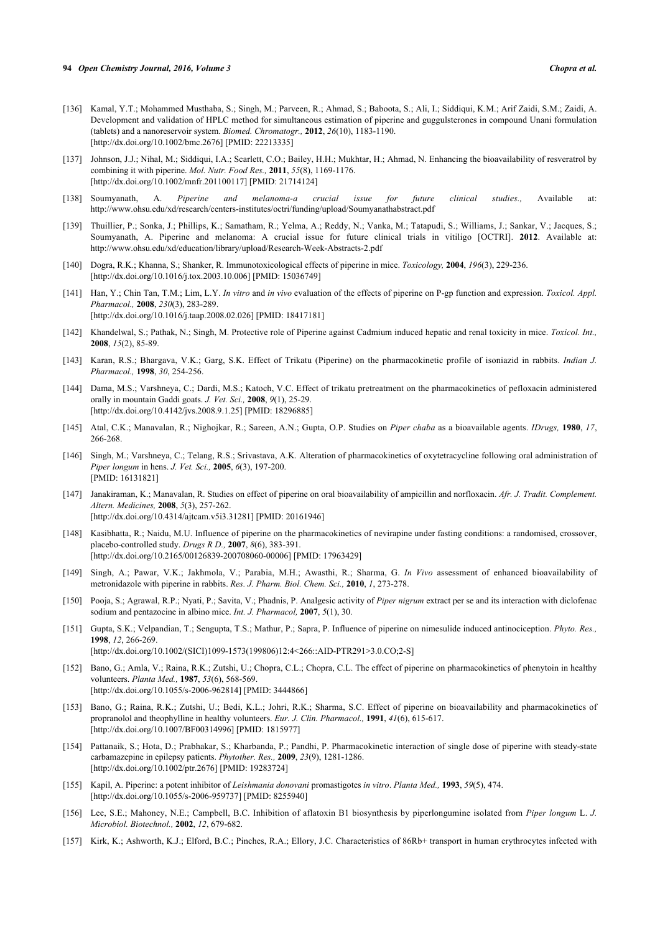- <span id="page-19-0"></span>[136] Kamal, Y.T.; Mohammed Musthaba, S.; Singh, M.; Parveen, R.; Ahmad, S.; Baboota, S.; Ali, I.; Siddiqui, K.M.; Arif Zaidi, S.M.; Zaidi, A. Development and validation of HPLC method for simultaneous estimation of piperine and guggulsterones in compound Unani formulation (tablets) and a nanoreservoir system. *Biomed. Chromatogr.,* **2012**, *26*(10), 1183-1190. [\[http://dx.doi.org/10.1002/bmc.2676\]](http://dx.doi.org/10.1002/bmc.2676) [PMID: [22213335](http://www.ncbi.nlm.nih.gov/pubmed/22213335)]
- <span id="page-19-1"></span>[137] Johnson, J.J.; Nihal, M.; Siddiqui, I.A.; Scarlett, C.O.; Bailey, H.H.; Mukhtar, H.; Ahmad, N. Enhancing the bioavailability of resveratrol by combining it with piperine. *Mol. Nutr. Food Res.,* **2011**, *55*(8), 1169-1176. [\[http://dx.doi.org/10.1002/mnfr.201100117](http://dx.doi.org/10.1002/mnfr.201100117)] [PMID: [21714124\]](http://www.ncbi.nlm.nih.gov/pubmed/21714124)
- <span id="page-19-2"></span>[138] Soumyanath, A. *Piperine and melanoma-a crucial issue for future clinical studies.,* Available at: http://www.ohsu.edu/xd/research/centers-institutes/octri/funding/upload/Soumyanathabstract.pdf
- <span id="page-19-3"></span>[139] Thuillier, P.; Sonka, J.; Phillips, K.; Samatham, R.; Yelma, A.; Reddy, N.; Vanka, M.; Tatapudi, S.; Williams, J.; Sankar, V.; Jacques, S.; Soumyanath, A. Piperine and melanoma: A crucial issue for future clinical trials in vitiligo [OCTRI]. **2012**. Available at: http://www.ohsu.edu/xd/education/library/upload/Research-Week-Abstracts-2.pdf
- <span id="page-19-4"></span>[140] Dogra, R.K.; Khanna, S.; Shanker, R. Immunotoxicological effects of piperine in mice. *Toxicology,* **2004**, *196*(3), 229-236. [\[http://dx.doi.org/10.1016/j.tox.2003.10.006](http://dx.doi.org/10.1016/j.tox.2003.10.006)] [PMID: [15036749\]](http://www.ncbi.nlm.nih.gov/pubmed/15036749)
- <span id="page-19-5"></span>[141] Han, Y.; Chin Tan, T.M.; Lim, L.Y. *In vitro* and *in vivo* evaluation of the effects of piperine on P-gp function and expression. *Toxicol. Appl. Pharmacol.,* **2008**, *230*(3), 283-289. [\[http://dx.doi.org/10.1016/j.taap.2008.02.026](http://dx.doi.org/10.1016/j.taap.2008.02.026)] [PMID: [18417181\]](http://www.ncbi.nlm.nih.gov/pubmed/18417181)
- <span id="page-19-6"></span>[142] Khandelwal, S.; Pathak, N.; Singh, M. Protective role of Piperine against Cadmium induced hepatic and renal toxicity in mice. *Toxicol. Int.,* **2008**, *15*(2), 85-89.
- [143] Karan, R.S.; Bhargava, V.K.; Garg, S.K. Effect of Trikatu (Piperine) on the pharmacokinetic profile of isoniazid in rabbits. *Indian J. Pharmacol.,* **1998**, *30*, 254-256.
- [144] Dama, M.S.; Varshneya, C.; Dardi, M.S.; Katoch, V.C. Effect of trikatu pretreatment on the pharmacokinetics of pefloxacin administered orally in mountain Gaddi goats. *J. Vet. Sci.,* **2008**, *9*(1), 25-29. [\[http://dx.doi.org/10.4142/jvs.2008.9.1.25](http://dx.doi.org/10.4142/jvs.2008.9.1.25)] [PMID: [18296885\]](http://www.ncbi.nlm.nih.gov/pubmed/18296885)
- [145] Atal, C.K.; Manavalan, R.; Nighojkar, R.; Sareen, A.N.; Gupta, O.P. Studies on *Piper chaba* as a bioavailable agents. *IDrugs,* **1980**, *17*, 266-268.
- [146] Singh, M.; Varshneya, C.; Telang, R.S.; Srivastava, A.K. Alteration of pharmacokinetics of oxytetracycline following oral administration of *Piper longum* in hens. *J. Vet. Sci.,* **2005**, *6*(3), 197-200. [PMID: [16131821\]](http://www.ncbi.nlm.nih.gov/pubmed/16131821)
- [147] Janakiraman, K.; Manavalan, R. Studies on effect of piperine on oral bioavailability of ampicillin and norfloxacin. *Afr. J. Tradit. Complement. Altern. Medicines,* **2008**, *5*(3), 257-262. [\[http://dx.doi.org/10.4314/ajtcam.v5i3.31281](http://dx.doi.org/10.4314/ajtcam.v5i3.31281)] [PMID: [20161946\]](http://www.ncbi.nlm.nih.gov/pubmed/20161946)
- [148] Kasibhatta, R.; Naidu, M.U. Influence of piperine on the pharmacokinetics of nevirapine under fasting conditions: a randomised, crossover, placebo-controlled study. *Drugs R D.,* **2007**, *8*(6), 383-391. [\[http://dx.doi.org/10.2165/00126839-200708060-00006](http://dx.doi.org/10.2165/00126839-200708060-00006)] [PMID: [17963429\]](http://www.ncbi.nlm.nih.gov/pubmed/17963429)
- [149] Singh, A.; Pawar, V.K.; Jakhmola, V.; Parabia, M.H.; Awasthi, R.; Sharma, G. *In Vivo* assessment of enhanced bioavailability of metronidazole with piperine in rabbits. *Res. J. Pharm. Biol. Chem. Sci.,* **2010**, *1*, 273-278.
- [150] Pooja, S.; Agrawal, R.P.; Nyati, P.; Savita, V.; Phadnis, P. Analgesic activity of *Piper nigrum* extract per se and its interaction with diclofenac sodium and pentazocine in albino mice. *Int. J. Pharmacol,* **2007**, *5*(1), 30.
- [151] Gupta, S.K.; Velpandian, T.; Sengupta, T.S.; Mathur, P.; Sapra, P. Influence of piperine on nimesulide induced antinociception. *Phyto. Res.,* **1998**, *12*, 266-269. [\[http://dx.doi.org/10.1002/\(SICI\)1099-1573\(199806\)12:4<266::AID-PTR291>3.0.CO;2-S\]](http://dx.doi.org/10.1002/(SICI)1099-1573(199806)12:4<266::AID-PTR291>3.0.CO;2-S)
- [152] Bano, G.; Amla, V.; Raina, R.K.; Zutshi, U.; Chopra, C.L.; Chopra, C.L. The effect of piperine on pharmacokinetics of phenytoin in healthy volunteers. *Planta Med.,* **1987**, *53*(6), 568-569. [\[http://dx.doi.org/10.1055/s-2006-962814](http://dx.doi.org/10.1055/s-2006-962814)] [PMID: [3444866\]](http://www.ncbi.nlm.nih.gov/pubmed/3444866)
- [153] Bano, G.; Raina, R.K.; Zutshi, U.; Bedi, K.L.; Johri, R.K.; Sharma, S.C. Effect of piperine on bioavailability and pharmacokinetics of propranolol and theophylline in healthy volunteers. *Eur. J. Clin. Pharmacol.,* **1991**, *41*(6), 615-617. [\[http://dx.doi.org/10.1007/BF00314996\]](http://dx.doi.org/10.1007/BF00314996) [PMID: [1815977](http://www.ncbi.nlm.nih.gov/pubmed/1815977)]
- [154] Pattanaik, S.; Hota, D.; Prabhakar, S.; Kharbanda, P.; Pandhi, P. Pharmacokinetic interaction of single dose of piperine with steady-state carbamazepine in epilepsy patients. *Phytother. Res.,* **2009**, *23*(9), 1281-1286. [\[http://dx.doi.org/10.1002/ptr.2676\]](http://dx.doi.org/10.1002/ptr.2676) [PMID: [19283724](http://www.ncbi.nlm.nih.gov/pubmed/19283724)]
- [155] Kapil, A. Piperine: a potent inhibitor of *Leishmania donovani* promastigotes *in vitro*. *Planta Med.,* **1993**, *59*(5), 474. [\[http://dx.doi.org/10.1055/s-2006-959737](http://dx.doi.org/10.1055/s-2006-959737)] [PMID: [8255940\]](http://www.ncbi.nlm.nih.gov/pubmed/8255940)
- [156] Lee, S.E.; Mahoney, N.E.; Campbell, B.C. Inhibition of aflatoxin B1 biosynthesis by piperlongumine isolated from *Piper longum* L. *J. Microbiol. Biotechnol.,* **2002**, *12*, 679-682.
- [157] Kirk, K.; Ashworth, K.J.; Elford, B.C.; Pinches, R.A.; Ellory, J.C. Characteristics of 86Rb+ transport in human erythrocytes infected with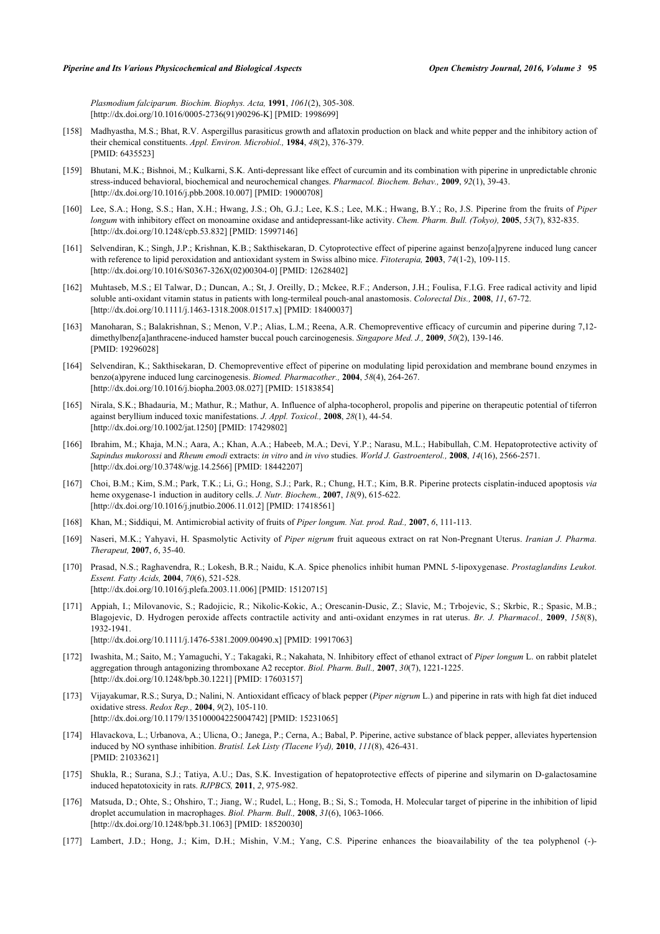*Plasmodium falciparum. Biochim. Biophys. Acta,* **1991**, *1061*(2), 305-308. [\[http://dx.doi.org/10.1016/0005-2736\(91\)90296-K](http://dx.doi.org/10.1016/0005-2736(91)90296-K)] [PMID: [1998699\]](http://www.ncbi.nlm.nih.gov/pubmed/1998699)

- [158] Madhyastha, M.S.; Bhat, R.V. Aspergillus parasiticus growth and aflatoxin production on black and white pepper and the inhibitory action of their chemical constituents. *Appl. Environ. Microbiol.,* **1984**, *48*(2), 376-379. [PMID: [6435523\]](http://www.ncbi.nlm.nih.gov/pubmed/6435523)
- [159] Bhutani, M.K.; Bishnoi, M.; Kulkarni, S.K. Anti-depressant like effect of curcumin and its combination with piperine in unpredictable chronic stress-induced behavioral, biochemical and neurochemical changes. *Pharmacol. Biochem. Behav.,* **2009**, *92*(1), 39-43. [\[http://dx.doi.org/10.1016/j.pbb.2008.10.007](http://dx.doi.org/10.1016/j.pbb.2008.10.007)] [PMID: [19000708\]](http://www.ncbi.nlm.nih.gov/pubmed/19000708)
- [160] Lee, S.A.; Hong, S.S.; Han, X.H.; Hwang, J.S.; Oh, G.J.; Lee, K.S.; Lee, M.K.; Hwang, B.Y.; Ro, J.S. Piperine from the fruits of *Piper longum* with inhibitory effect on monoamine oxidase and antidepressant-like activity. *Chem. Pharm. Bull. (Tokyo),* **2005**, *53*(7), 832-835. [\[http://dx.doi.org/10.1248/cpb.53.832](http://dx.doi.org/10.1248/cpb.53.832)] [PMID: [15997146\]](http://www.ncbi.nlm.nih.gov/pubmed/15997146)
- [161] Selvendiran, K.; Singh, J.P.; Krishnan, K.B.; Sakthisekaran, D. Cytoprotective effect of piperine against benzo[a]pyrene induced lung cancer with reference to lipid peroxidation and antioxidant system in Swiss albino mice. *Fitoterapia,* **2003**, *74*(1-2), 109-115. [\[http://dx.doi.org/10.1016/S0367-326X\(02\)00304-0\]](http://dx.doi.org/10.1016/S0367-326X(02)00304-0) [PMID: [12628402](http://www.ncbi.nlm.nih.gov/pubmed/12628402)]
- [162] Muhtaseb, M.S.; El Talwar, D.; Duncan, A.; St, J. Oreilly, D.; Mckee, R.F.; Anderson, J.H.; Foulisa, F.I.G. Free radical activity and lipid soluble anti-oxidant vitamin status in patients with long-termileal pouch-anal anastomosis. *Colorectal Dis.,* **2008**, *11*, 67-72. [\[http://dx.doi.org/10.1111/j.1463-1318.2008.01517.x\]](http://dx.doi.org/10.1111/j.1463-1318.2008.01517.x) [PMID: [18400037](http://www.ncbi.nlm.nih.gov/pubmed/18400037)]
- [163] Manoharan, S.; Balakrishnan, S.; Menon, V.P.; Alias, L.M.; Reena, A.R. Chemopreventive efficacy of curcumin and piperine during 7,12 dimethylbenz[a]anthracene-induced hamster buccal pouch carcinogenesis. *Singapore Med. J.,* **2009**, *50*(2), 139-146. [PMID: [19296028\]](http://www.ncbi.nlm.nih.gov/pubmed/19296028)
- [164] Selvendiran, K.; Sakthisekaran, D. Chemopreventive effect of piperine on modulating lipid peroxidation and membrane bound enzymes in benzo(a)pyrene induced lung carcinogenesis. *Biomed. Pharmacother.,* **2004**, *58*(4), 264-267. [\[http://dx.doi.org/10.1016/j.biopha.2003.08.027\]](http://dx.doi.org/10.1016/j.biopha.2003.08.027) [PMID: [15183854](http://www.ncbi.nlm.nih.gov/pubmed/15183854)]
- [165] Nirala, S.K.; Bhadauria, M.; Mathur, R.; Mathur, A. Influence of alpha-tocopherol, propolis and piperine on therapeutic potential of tiferron against beryllium induced toxic manifestations. *J. Appl. Toxicol.,* **2008**, *28*(1), 44-54. [\[http://dx.doi.org/10.1002/jat.1250\]](http://dx.doi.org/10.1002/jat.1250) [PMID: [17429802](http://www.ncbi.nlm.nih.gov/pubmed/17429802)]
- [166] Ibrahim, M.; Khaja, M.N.; Aara, A.; Khan, A.A.; Habeeb, M.A.; Devi, Y.P.; Narasu, M.L.; Habibullah, C.M. Hepatoprotective activity of *Sapindus mukorossi* and *Rheum emodi* extracts: *in vitro* and *in vivo* studies. *World J. Gastroenterol.,* **2008**, *14*(16), 2566-2571. [\[http://dx.doi.org/10.3748/wjg.14.2566\]](http://dx.doi.org/10.3748/wjg.14.2566) [PMID: [18442207](http://www.ncbi.nlm.nih.gov/pubmed/18442207)]
- [167] Choi, B.M.; Kim, S.M.; Park, T.K.; Li, G.; Hong, S.J.; Park, R.; Chung, H.T.; Kim, B.R. Piperine protects cisplatin-induced apoptosis *via* heme oxygenase-1 induction in auditory cells. *J. Nutr. Biochem.,* **2007**, *18*(9), 615-622. [\[http://dx.doi.org/10.1016/j.jnutbio.2006.11.012\]](http://dx.doi.org/10.1016/j.jnutbio.2006.11.012) [PMID: [17418561](http://www.ncbi.nlm.nih.gov/pubmed/17418561)]
- [168] Khan, M.; Siddiqui, M. Antimicrobial activity of fruits of *Piper longum. Nat. prod. Rad.,* **2007**, *6*, 111-113.
- [169] Naseri, M.K.; Yahyavi, H. Spasmolytic Activity of *Piper nigrum* fruit aqueous extract on rat Non-Pregnant Uterus. *Iranian J. Pharma. Therapeut,* **2007**, *6*, 35-40.
- [170] Prasad, N.S.; Raghavendra, R.; Lokesh, B.R.; Naidu, K.A. Spice phenolics inhibit human PMNL 5-lipoxygenase. *Prostaglandins Leukot. Essent. Fatty Acids,* **2004**, *70*(6), 521-528. [\[http://dx.doi.org/10.1016/j.plefa.2003.11.006](http://dx.doi.org/10.1016/j.plefa.2003.11.006)] [PMID: [15120715\]](http://www.ncbi.nlm.nih.gov/pubmed/15120715)
- [171] Appiah, I.; Milovanovic, S.; Radojicic, R.; Nikolic-Kokic, A.; Orescanin-Dusic, Z.; Slavic, M.; Trbojevic, S.; Skrbic, R.; Spasic, M.B.; Blagojevic, D. Hydrogen peroxide affects contractile activity and anti-oxidant enzymes in rat uterus. *Br. J. Pharmacol.,* **2009**, *158*(8), 1932-1941. [\[http://dx.doi.org/10.1111/j.1476-5381.2009.00490.x\]](http://dx.doi.org/10.1111/j.1476-5381.2009.00490.x) [PMID: [19917063](http://www.ncbi.nlm.nih.gov/pubmed/19917063)]
- [172] Iwashita, M.; Saito, M.; Yamaguchi, Y.; Takagaki, R.; Nakahata, N. Inhibitory effect of ethanol extract of *Piper longum* L. on rabbit platelet aggregation through antagonizing thromboxane A2 receptor. *Biol. Pharm. Bull.,* **2007**, *30*(7), 1221-1225. [\[http://dx.doi.org/10.1248/bpb.30.1221\]](http://dx.doi.org/10.1248/bpb.30.1221) [PMID: [17603157](http://www.ncbi.nlm.nih.gov/pubmed/17603157)]
- [173] Vijayakumar, R.S.; Surya, D.; Nalini, N. Antioxidant efficacy of black pepper (*Piper nigrum* L.) and piperine in rats with high fat diet induced oxidative stress. *Redox Rep.,* **2004**, *9*(2), 105-110. [\[http://dx.doi.org/10.1179/135100004225004742\]](http://dx.doi.org/10.1179/135100004225004742) [PMID: [15231065](http://www.ncbi.nlm.nih.gov/pubmed/15231065)]
- [174] Hlavackova, L.; Urbanova, A.; Ulicna, O.; Janega, P.; Cerna, A.; Babal, P. Piperine, active substance of black pepper, alleviates hypertension induced by NO synthase inhibition. *Bratisl. Lek Listy (Tlacene Vyd),* **2010**, *111*(8), 426-431. [PMID: [21033621\]](http://www.ncbi.nlm.nih.gov/pubmed/21033621)
- [175] Shukla, R.; Surana, S.J.; Tatiya, A.U.; Das, S.K. Investigation of hepatoprotective effects of piperine and silymarin on D-galactosamine induced hepatotoxicity in rats. *RJPBCS,* **2011**, *2*, 975-982.
- [176] Matsuda, D.; Ohte, S.; Ohshiro, T.; Jiang, W.; Rudel, L.; Hong, B.; Si, S.; Tomoda, H. Molecular target of piperine in the inhibition of lipid droplet accumulation in macrophages. *Biol. Pharm. Bull.,* **2008**, *31*(6), 1063-1066. [\[http://dx.doi.org/10.1248/bpb.31.1063\]](http://dx.doi.org/10.1248/bpb.31.1063) [PMID: [18520030](http://www.ncbi.nlm.nih.gov/pubmed/18520030)]
- [177] Lambert, J.D.; Hong, J.; Kim, D.H.; Mishin, V.M.; Yang, C.S. Piperine enhances the bioavailability of the tea polyphenol (-)-